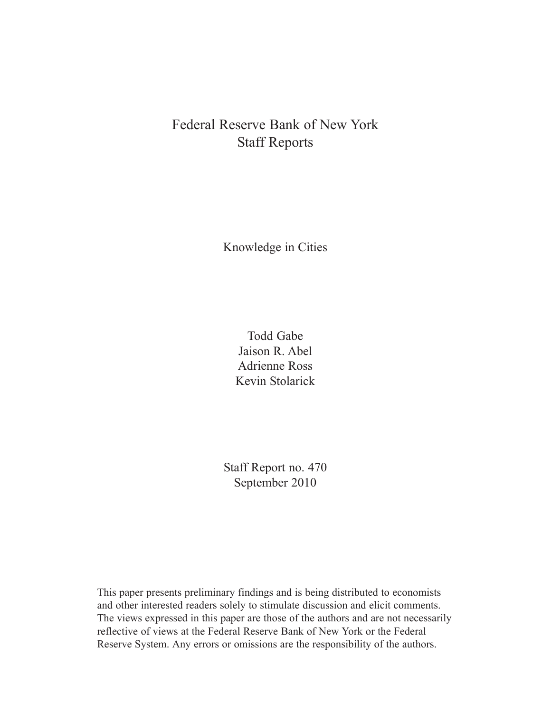# Federal Reserve Bank of New York Staff Reports

Knowledge in Cities

Todd Gabe Jaison R. Abel Adrienne Ross Kevin Stolarick

Staff Report no. 470 September 2010

This paper presents preliminary findings and is being distributed to economists and other interested readers solely to stimulate discussion and elicit comments. The views expressed in this paper are those of the authors and are not necessarily reflective of views at the Federal Reserve Bank of New York or the Federal Reserve System. Any errors or omissions are the responsibility of the authors.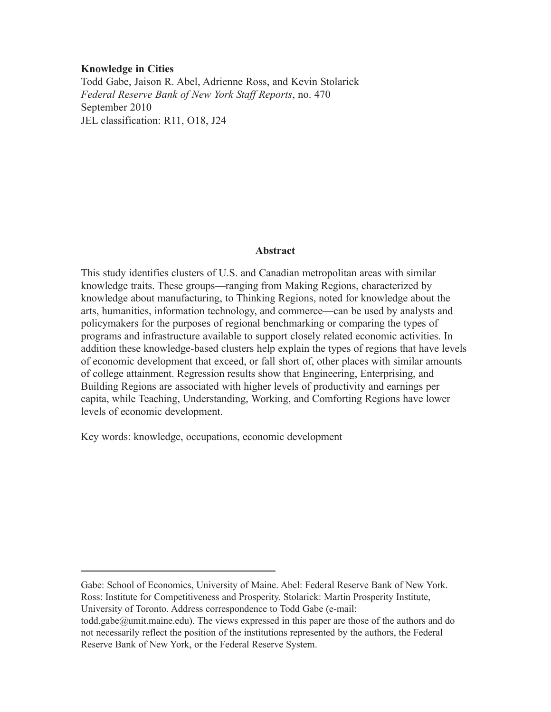## **Knowledge in Cities**

Todd Gabe, Jaison R. Abel, Adrienne Ross, and Kevin Stolarick *Federal Reserve Bank of New York Staff Reports*, no. 470 September 2010 JEL classification: R11, O18, J24

## **Abstract**

This study identifies clusters of U.S. and Canadian metropolitan areas with similar knowledge traits. These groups—ranging from Making Regions, characterized by knowledge about manufacturing, to Thinking Regions, noted for knowledge about the arts, humanities, information technology, and commerce—can be used by analysts and policymakers for the purposes of regional benchmarking or comparing the types of programs and infrastructure available to support closely related economic activities. In addition these knowledge-based clusters help explain the types of regions that have levels of economic development that exceed, or fall short of, other places with similar amounts of college attainment. Regression results show that Engineering, Enterprising, and Building Regions are associated with higher levels of productivity and earnings per capita, while Teaching, Understanding, Working, and Comforting Regions have lower levels of economic development.

Key words: knowledge, occupations, economic development

Gabe: School of Economics, University of Maine. Abel: Federal Reserve Bank of New York. Ross: Institute for Competitiveness and Prosperity. Stolarick: Martin Prosperity Institute, University of Toronto. Address correspondence to Todd Gabe (e-mail:

todd.gabe@umit.maine.edu). The views expressed in this paper are those of the authors and do not necessarily reflect the position of the institutions represented by the authors, the Federal Reserve Bank of New York, or the Federal Reserve System.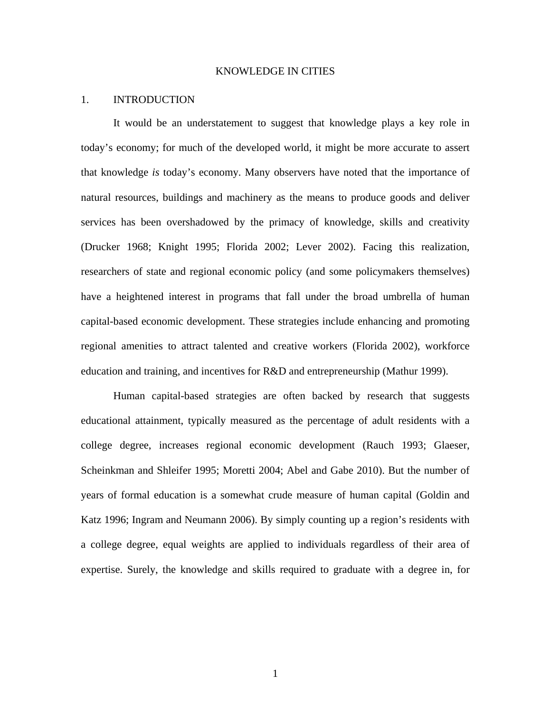## KNOWLEDGE IN CITIES

## 1. INTRODUCTION

 It would be an understatement to suggest that knowledge plays a key role in today's economy; for much of the developed world, it might be more accurate to assert that knowledge *is* today's economy. Many observers have noted that the importance of natural resources, buildings and machinery as the means to produce goods and deliver services has been overshadowed by the primacy of knowledge, skills and creativity (Drucker 1968; Knight 1995; Florida 2002; Lever 2002). Facing this realization, researchers of state and regional economic policy (and some policymakers themselves) have a heightened interest in programs that fall under the broad umbrella of human capital-based economic development. These strategies include enhancing and promoting regional amenities to attract talented and creative workers (Florida 2002), workforce education and training, and incentives for R&D and entrepreneurship (Mathur 1999).

 Human capital-based strategies are often backed by research that suggests educational attainment, typically measured as the percentage of adult residents with a college degree, increases regional economic development (Rauch 1993; Glaeser, Scheinkman and Shleifer 1995; Moretti 2004; Abel and Gabe 2010). But the number of years of formal education is a somewhat crude measure of human capital (Goldin and Katz 1996; Ingram and Neumann 2006). By simply counting up a region's residents with a college degree, equal weights are applied to individuals regardless of their area of expertise. Surely, the knowledge and skills required to graduate with a degree in, for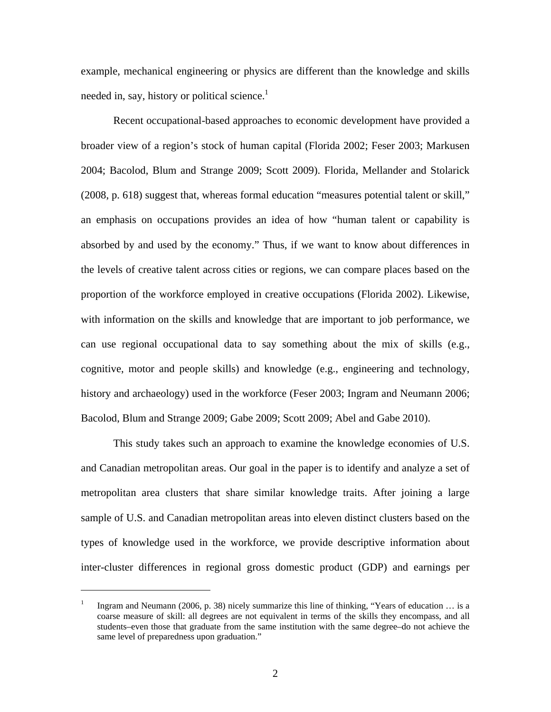example, mechanical engineering or physics are different than the knowledge and skills needed in, say, history or political science. $<sup>1</sup>$ </sup>

 Recent occupational-based approaches to economic development have provided a broader view of a region's stock of human capital (Florida 2002; Feser 2003; Markusen 2004; Bacolod, Blum and Strange 2009; Scott 2009). Florida, Mellander and Stolarick (2008, p. 618) suggest that, whereas formal education "measures potential talent or skill," an emphasis on occupations provides an idea of how "human talent or capability is absorbed by and used by the economy." Thus, if we want to know about differences in the levels of creative talent across cities or regions, we can compare places based on the proportion of the workforce employed in creative occupations (Florida 2002). Likewise, with information on the skills and knowledge that are important to job performance, we can use regional occupational data to say something about the mix of skills (e.g., cognitive, motor and people skills) and knowledge (e.g., engineering and technology, history and archaeology) used in the workforce (Feser 2003; Ingram and Neumann 2006; Bacolod, Blum and Strange 2009; Gabe 2009; Scott 2009; Abel and Gabe 2010).

This study takes such an approach to examine the knowledge economies of U.S. and Canadian metropolitan areas. Our goal in the paper is to identify and analyze a set of metropolitan area clusters that share similar knowledge traits. After joining a large sample of U.S. and Canadian metropolitan areas into eleven distinct clusters based on the types of knowledge used in the workforce, we provide descriptive information about inter-cluster differences in regional gross domestic product (GDP) and earnings per

 $\overline{a}$ 

<sup>1</sup> Ingram and Neumann (2006, p. 38) nicely summarize this line of thinking, "Years of education … is a coarse measure of skill: all degrees are not equivalent in terms of the skills they encompass, and all students–even those that graduate from the same institution with the same degree–do not achieve the same level of preparedness upon graduation."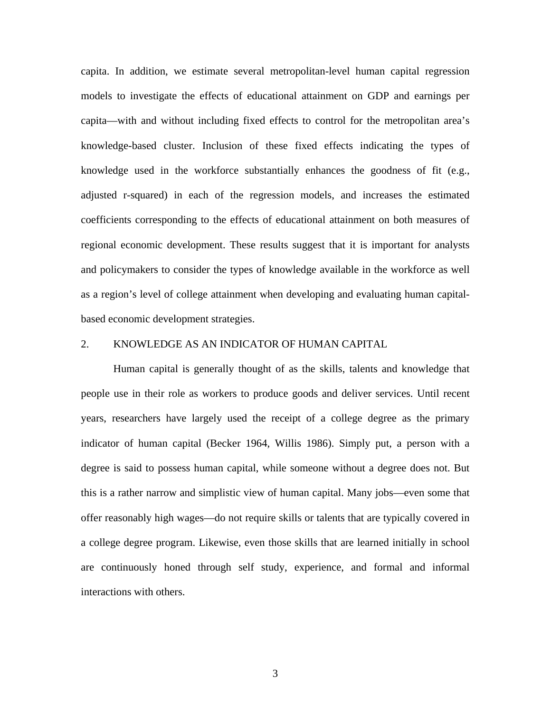capita. In addition, we estimate several metropolitan-level human capital regression models to investigate the effects of educational attainment on GDP and earnings per capita—with and without including fixed effects to control for the metropolitan area's knowledge-based cluster. Inclusion of these fixed effects indicating the types of knowledge used in the workforce substantially enhances the goodness of fit (e.g., adjusted r-squared) in each of the regression models, and increases the estimated coefficients corresponding to the effects of educational attainment on both measures of regional economic development. These results suggest that it is important for analysts and policymakers to consider the types of knowledge available in the workforce as well as a region's level of college attainment when developing and evaluating human capitalbased economic development strategies.

## 2. KNOWLEDGE AS AN INDICATOR OF HUMAN CAPITAL

Human capital is generally thought of as the skills, talents and knowledge that people use in their role as workers to produce goods and deliver services. Until recent years, researchers have largely used the receipt of a college degree as the primary indicator of human capital (Becker 1964, Willis 1986). Simply put, a person with a degree is said to possess human capital, while someone without a degree does not. But this is a rather narrow and simplistic view of human capital. Many jobs—even some that offer reasonably high wages—do not require skills or talents that are typically covered in a college degree program. Likewise, even those skills that are learned initially in school are continuously honed through self study, experience, and formal and informal interactions with others.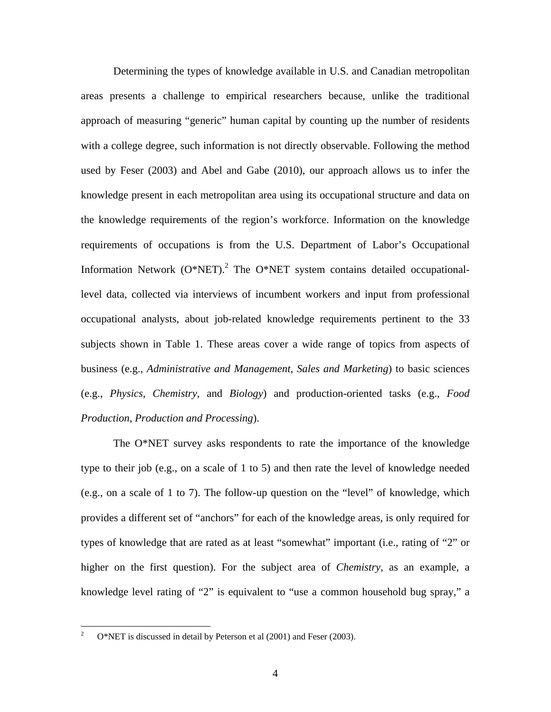Determining the types of knowledge available in U.S. and Canadian metropolitan areas presents a challenge to empirical researchers because, unlike the traditional approach of measuring "generic" human capital by counting up the number of residents with a college degree, such information is not directly observable. Following the method used by Feser (2003) and Abel and Gabe (2010), our approach allows us to infer the knowledge present in each metropolitan area using its occupational structure and data on the knowledge requirements of the region's workforce. Information on the knowledge requirements of occupations is from the U.S. Department of Labor's Occupational Information Network  $(O^*NET)$ .<sup>2</sup> The  $O^*NET$  system contains detailed occupationallevel data, collected via interviews of incumbent workers and input from professional occupational analysts, about job-related knowledge requirements pertinent to the 33 subjects shown in Table 1. These areas cover a wide range of topics from aspects of business (e.g., *Administrative and Management*, *Sales and Marketing*) to basic sciences (e.g., *Physics*, *Chemistry*, and *Biology*) and production-oriented tasks (e.g., *Food Production*, *Production and Processing*).

The O\*NET survey asks respondents to rate the importance of the knowledge type to their job (e.g., on a scale of 1 to 5) and then rate the level of knowledge needed (e.g., on a scale of 1 to 7). The follow-up question on the "level" of knowledge, which provides a different set of "anchors" for each of the knowledge areas, is only required for types of knowledge that are rated as at least "somewhat" important (i.e., rating of "2" or higher on the first question). For the subject area of *Chemistry*, as an example, a knowledge level rating of "2" is equivalent to "use a common household bug spray," a

 $\overline{a}$ 

<sup>2</sup> O\*NET is discussed in detail by Peterson et al (2001) and Feser (2003).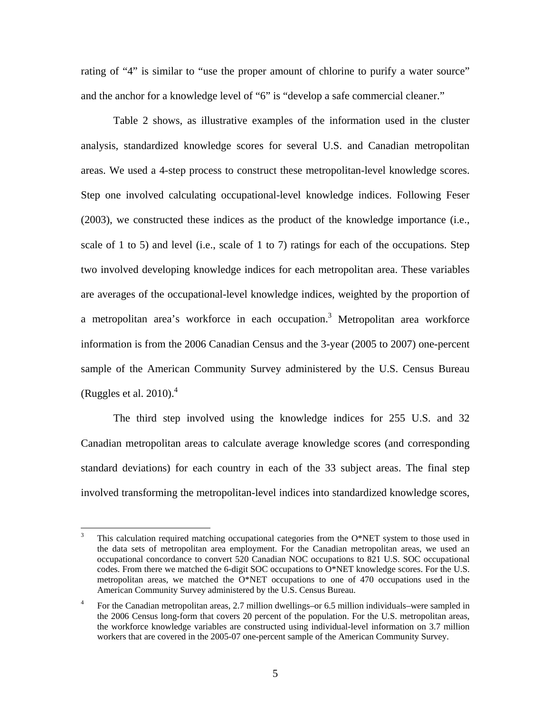rating of "4" is similar to "use the proper amount of chlorine to purify a water source" and the anchor for a knowledge level of "6" is "develop a safe commercial cleaner."

Table 2 shows, as illustrative examples of the information used in the cluster analysis, standardized knowledge scores for several U.S. and Canadian metropolitan areas. We used a 4-step process to construct these metropolitan-level knowledge scores. Step one involved calculating occupational-level knowledge indices. Following Feser (2003), we constructed these indices as the product of the knowledge importance (i.e., scale of 1 to 5) and level (i.e., scale of 1 to 7) ratings for each of the occupations. Step two involved developing knowledge indices for each metropolitan area. These variables are averages of the occupational-level knowledge indices, weighted by the proportion of a metropolitan area's workforce in each occupation.<sup>3</sup> Metropolitan area workforce information is from the 2006 Canadian Census and the 3-year (2005 to 2007) one-percent sample of the American Community Survey administered by the U.S. Census Bureau (Ruggles et al. 2010). $<sup>4</sup>$ </sup>

The third step involved using the knowledge indices for 255 U.S. and 32 Canadian metropolitan areas to calculate average knowledge scores (and corresponding standard deviations) for each country in each of the 33 subject areas. The final step involved transforming the metropolitan-level indices into standardized knowledge scores,

 $\overline{a}$ 

<sup>3</sup> This calculation required matching occupational categories from the O\*NET system to those used in the data sets of metropolitan area employment. For the Canadian metropolitan areas, we used an occupational concordance to convert 520 Canadian NOC occupations to 821 U.S. SOC occupational codes. From there we matched the 6-digit SOC occupations to O\*NET knowledge scores. For the U.S. metropolitan areas, we matched the O\*NET occupations to one of 470 occupations used in the American Community Survey administered by the U.S. Census Bureau.

<sup>4</sup> For the Canadian metropolitan areas, 2.7 million dwellings–or 6.5 million individuals–were sampled in the 2006 Census long-form that covers 20 percent of the population. For the U.S. metropolitan areas, the workforce knowledge variables are constructed using individual-level information on 3.7 million workers that are covered in the 2005-07 one-percent sample of the American Community Survey.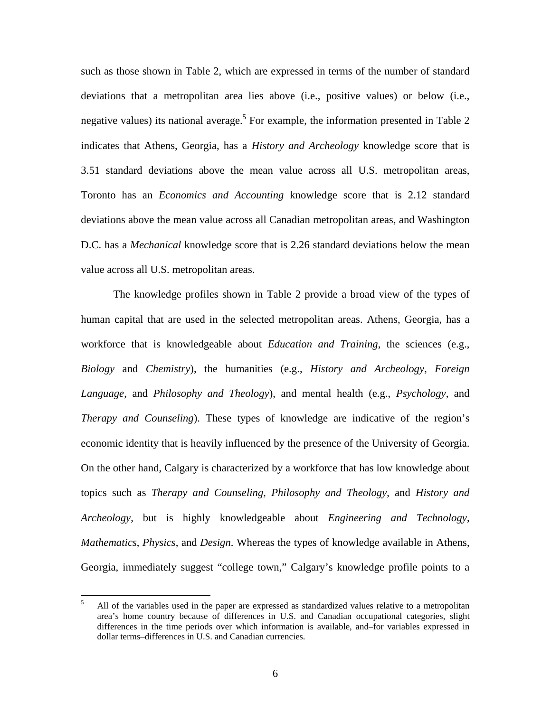such as those shown in Table 2, which are expressed in terms of the number of standard deviations that a metropolitan area lies above (i.e., positive values) or below (i.e., negative values) its national average.<sup>5</sup> For example, the information presented in Table 2 indicates that Athens, Georgia, has a *History and Archeology* knowledge score that is 3.51 standard deviations above the mean value across all U.S. metropolitan areas, Toronto has an *Economics and Accounting* knowledge score that is 2.12 standard deviations above the mean value across all Canadian metropolitan areas, and Washington D.C. has a *Mechanical* knowledge score that is 2.26 standard deviations below the mean value across all U.S. metropolitan areas.

The knowledge profiles shown in Table 2 provide a broad view of the types of human capital that are used in the selected metropolitan areas. Athens, Georgia, has a workforce that is knowledgeable about *Education and Training*, the sciences (e.g., *Biology* and *Chemistry*), the humanities (e.g., *History and Archeology*, *Foreign Language*, and *Philosophy and Theology*), and mental health (e.g., *Psychology*, and *Therapy and Counseling*). These types of knowledge are indicative of the region's economic identity that is heavily influenced by the presence of the University of Georgia. On the other hand, Calgary is characterized by a workforce that has low knowledge about topics such as *Therapy and Counseling*, *Philosophy and Theology*, and *History and Archeology*, but is highly knowledgeable about *Engineering and Technology*, *Mathematics*, *Physics*, and *Design*. Whereas the types of knowledge available in Athens, Georgia, immediately suggest "college town," Calgary's knowledge profile points to a

<u>.</u>

<sup>5</sup> All of the variables used in the paper are expressed as standardized values relative to a metropolitan area's home country because of differences in U.S. and Canadian occupational categories, slight differences in the time periods over which information is available, and–for variables expressed in dollar terms–differences in U.S. and Canadian currencies.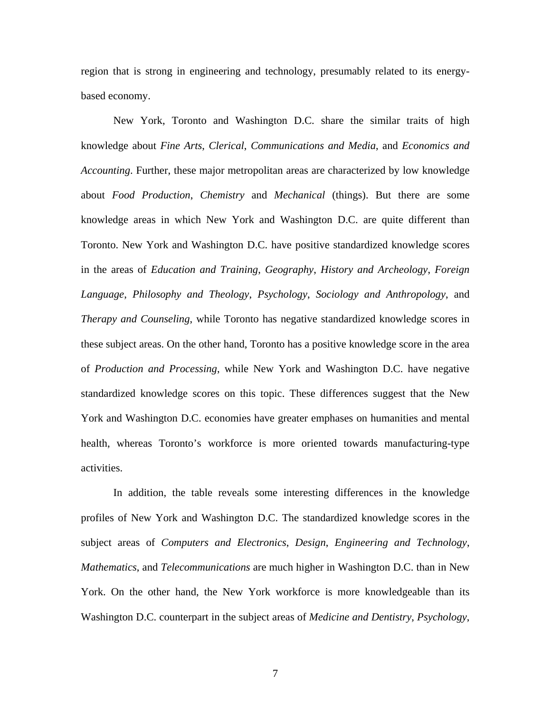region that is strong in engineering and technology, presumably related to its energybased economy.

New York, Toronto and Washington D.C. share the similar traits of high knowledge about *Fine Arts*, *Clerical*, *Communications and Media*, and *Economics and Accounting*. Further, these major metropolitan areas are characterized by low knowledge about *Food Production*, *Chemistry* and *Mechanical* (things). But there are some knowledge areas in which New York and Washington D.C. are quite different than Toronto. New York and Washington D.C. have positive standardized knowledge scores in the areas of *Education and Training*, *Geography*, *History and Archeology*, *Foreign Language*, *Philosophy and Theology*, *Psychology*, *Sociology and Anthropology*, and *Therapy and Counseling*, while Toronto has negative standardized knowledge scores in these subject areas. On the other hand, Toronto has a positive knowledge score in the area of *Production and Processing*, while New York and Washington D.C. have negative standardized knowledge scores on this topic. These differences suggest that the New York and Washington D.C. economies have greater emphases on humanities and mental health, whereas Toronto's workforce is more oriented towards manufacturing-type activities.

In addition, the table reveals some interesting differences in the knowledge profiles of New York and Washington D.C. The standardized knowledge scores in the subject areas of *Computers and Electronics*, *Design*, *Engineering and Technology*, *Mathematics*, and *Telecommunications* are much higher in Washington D.C. than in New York. On the other hand, the New York workforce is more knowledgeable than its Washington D.C. counterpart in the subject areas of *Medicine and Dentistry*, *Psychology*,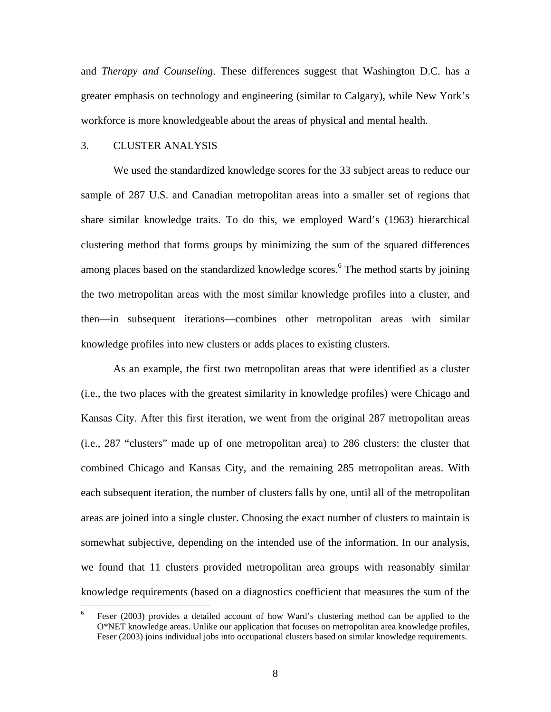and *Therapy and Counseling*. These differences suggest that Washington D.C. has a greater emphasis on technology and engineering (similar to Calgary), while New York's workforce is more knowledgeable about the areas of physical and mental health.

## 3. CLUSTER ANALYSIS

 We used the standardized knowledge scores for the 33 subject areas to reduce our sample of 287 U.S. and Canadian metropolitan areas into a smaller set of regions that share similar knowledge traits. To do this, we employed Ward's (1963) hierarchical clustering method that forms groups by minimizing the sum of the squared differences among places based on the standardized knowledge scores.<sup>6</sup> The method starts by joining the two metropolitan areas with the most similar knowledge profiles into a cluster, and then—in subsequent iterations—combines other metropolitan areas with similar knowledge profiles into new clusters or adds places to existing clusters.

As an example, the first two metropolitan areas that were identified as a cluster (i.e., the two places with the greatest similarity in knowledge profiles) were Chicago and Kansas City. After this first iteration, we went from the original 287 metropolitan areas (i.e., 287 "clusters" made up of one metropolitan area) to 286 clusters: the cluster that combined Chicago and Kansas City, and the remaining 285 metropolitan areas. With each subsequent iteration, the number of clusters falls by one, until all of the metropolitan areas are joined into a single cluster. Choosing the exact number of clusters to maintain is somewhat subjective, depending on the intended use of the information. In our analysis, we found that 11 clusters provided metropolitan area groups with reasonably similar knowledge requirements (based on a diagnostics coefficient that measures the sum of the

 $\frac{1}{6}$  Feser (2003) provides a detailed account of how Ward's clustering method can be applied to the O\*NET knowledge areas. Unlike our application that focuses on metropolitan area knowledge profiles, Feser (2003) joins individual jobs into occupational clusters based on similar knowledge requirements.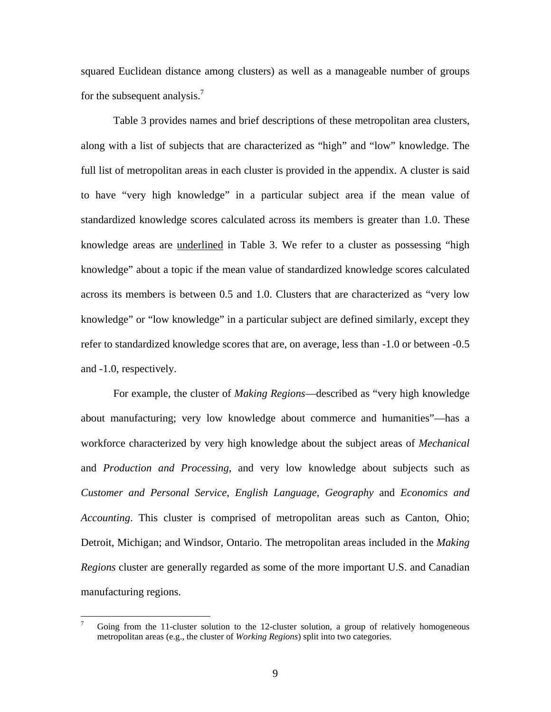squared Euclidean distance among clusters) as well as a manageable number of groups for the subsequent analysis. $\frac{7}{2}$ 

Table 3 provides names and brief descriptions of these metropolitan area clusters, along with a list of subjects that are characterized as "high" and "low" knowledge. The full list of metropolitan areas in each cluster is provided in the appendix. A cluster is said to have "very high knowledge" in a particular subject area if the mean value of standardized knowledge scores calculated across its members is greater than 1.0. These knowledge areas are underlined in Table 3. We refer to a cluster as possessing "high knowledge" about a topic if the mean value of standardized knowledge scores calculated across its members is between 0.5 and 1.0. Clusters that are characterized as "very low knowledge" or "low knowledge" in a particular subject are defined similarly, except they refer to standardized knowledge scores that are, on average, less than -1.0 or between -0.5 and -1.0, respectively.

For example, the cluster of *Making Regions*—described as "very high knowledge about manufacturing; very low knowledge about commerce and humanities"—has a workforce characterized by very high knowledge about the subject areas of *Mechanical* and *Production and Processing*, and very low knowledge about subjects such as *Customer and Personal Service*, *English Language*, *Geography* and *Economics and Accounting*. This cluster is comprised of metropolitan areas such as Canton, Ohio; Detroit, Michigan; and Windsor, Ontario. The metropolitan areas included in the *Making Regions* cluster are generally regarded as some of the more important U.S. and Canadian manufacturing regions.

 $\overline{a}$ 

<sup>7</sup> Going from the 11-cluster solution to the 12-cluster solution, a group of relatively homogeneous metropolitan areas (e.g., the cluster of *Working Regions*) split into two categories.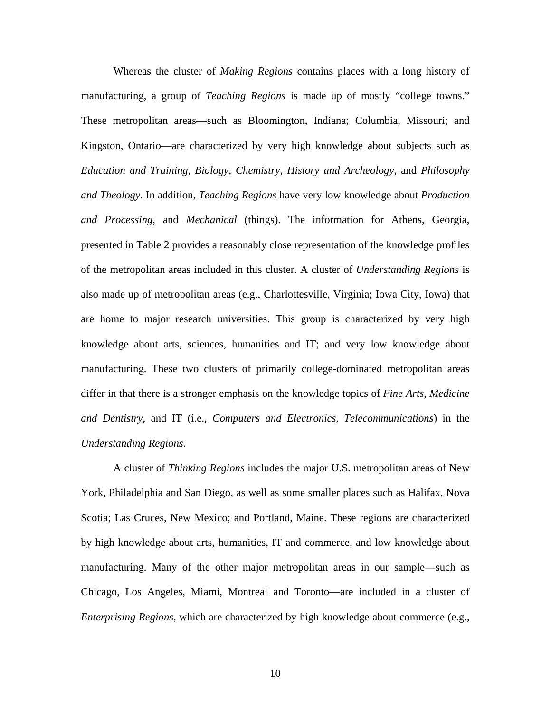Whereas the cluster of *Making Regions* contains places with a long history of manufacturing, a group of *Teaching Regions* is made up of mostly "college towns." These metropolitan areas—such as Bloomington, Indiana; Columbia, Missouri; and Kingston, Ontario—are characterized by very high knowledge about subjects such as *Education and Training*, *Biology*, *Chemistry*, *History and Archeology*, and *Philosophy and Theology*. In addition, *Teaching Regions* have very low knowledge about *Production and Processing*, and *Mechanical* (things). The information for Athens, Georgia, presented in Table 2 provides a reasonably close representation of the knowledge profiles of the metropolitan areas included in this cluster. A cluster of *Understanding Regions* is also made up of metropolitan areas (e.g., Charlottesville, Virginia; Iowa City, Iowa) that are home to major research universities. This group is characterized by very high knowledge about arts, sciences, humanities and IT; and very low knowledge about manufacturing. These two clusters of primarily college-dominated metropolitan areas differ in that there is a stronger emphasis on the knowledge topics of *Fine Arts*, *Medicine and Dentistry*, and IT (i.e., *Computers and Electronics*, *Telecommunications*) in the *Understanding Regions*.

A cluster of *Thinking Regions* includes the major U.S. metropolitan areas of New York, Philadelphia and San Diego, as well as some smaller places such as Halifax, Nova Scotia; Las Cruces, New Mexico; and Portland, Maine. These regions are characterized by high knowledge about arts, humanities, IT and commerce, and low knowledge about manufacturing. Many of the other major metropolitan areas in our sample—such as Chicago, Los Angeles, Miami, Montreal and Toronto—are included in a cluster of *Enterprising Regions*, which are characterized by high knowledge about commerce (e.g.,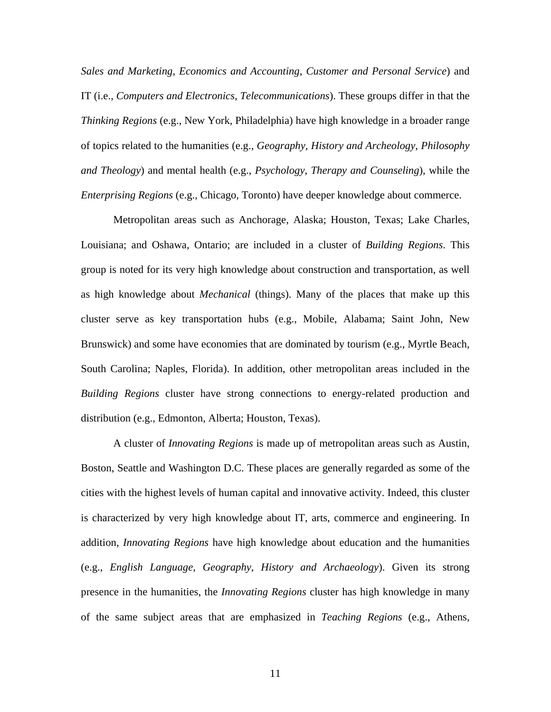*Sales and Marketing*, *Economics and Accounting*, *Customer and Personal Service*) and IT (i.e., *Computers and Electronics*, *Telecommunications*). These groups differ in that the *Thinking Regions* (e.g., New York, Philadelphia) have high knowledge in a broader range of topics related to the humanities (e.g., *Geography*, *History and Archeology*, *Philosophy and Theology*) and mental health (e.g., *Psychology*, *Therapy and Counseling*), while the *Enterprising Regions* (e.g., Chicago, Toronto) have deeper knowledge about commerce.

Metropolitan areas such as Anchorage, Alaska; Houston, Texas; Lake Charles, Louisiana; and Oshawa, Ontario; are included in a cluster of *Building Regions*. This group is noted for its very high knowledge about construction and transportation, as well as high knowledge about *Mechanical* (things). Many of the places that make up this cluster serve as key transportation hubs (e.g., Mobile, Alabama; Saint John, New Brunswick) and some have economies that are dominated by tourism (e.g., Myrtle Beach, South Carolina; Naples, Florida). In addition, other metropolitan areas included in the *Building Regions* cluster have strong connections to energy-related production and distribution (e.g., Edmonton, Alberta; Houston, Texas).

A cluster of *Innovating Regions* is made up of metropolitan areas such as Austin, Boston, Seattle and Washington D.C. These places are generally regarded as some of the cities with the highest levels of human capital and innovative activity. Indeed, this cluster is characterized by very high knowledge about IT, arts, commerce and engineering. In addition, *Innovating Regions* have high knowledge about education and the humanities (e.g., *English Language*, *Geography*, *History and Archaeology*). Given its strong presence in the humanities, the *Innovating Regions* cluster has high knowledge in many of the same subject areas that are emphasized in *Teaching Regions* (e.g., Athens,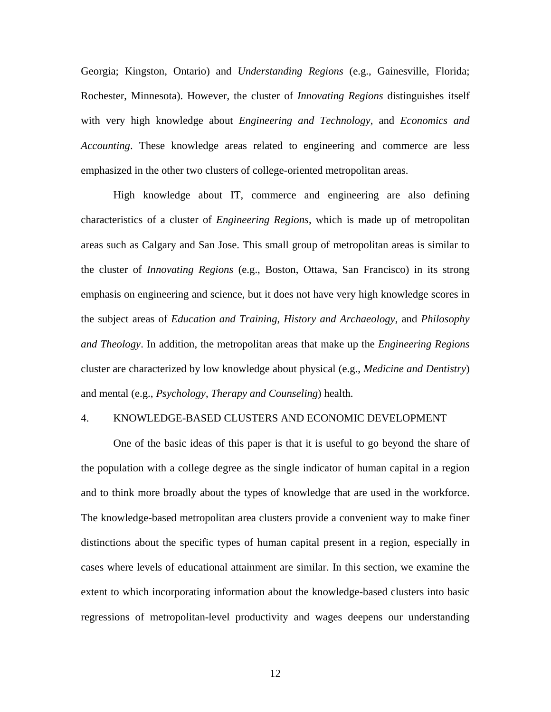Georgia; Kingston, Ontario) and *Understanding Regions* (e.g., Gainesville, Florida; Rochester, Minnesota). However, the cluster of *Innovating Regions* distinguishes itself with very high knowledge about *Engineering and Technology*, and *Economics and Accounting*. These knowledge areas related to engineering and commerce are less emphasized in the other two clusters of college-oriented metropolitan areas.

High knowledge about IT, commerce and engineering are also defining characteristics of a cluster of *Engineering Regions*, which is made up of metropolitan areas such as Calgary and San Jose. This small group of metropolitan areas is similar to the cluster of *Innovating Regions* (e.g., Boston, Ottawa, San Francisco) in its strong emphasis on engineering and science, but it does not have very high knowledge scores in the subject areas of *Education and Training*, *History and Archaeology*, and *Philosophy and Theology*. In addition, the metropolitan areas that make up the *Engineering Regions* cluster are characterized by low knowledge about physical (e.g., *Medicine and Dentistry*) and mental (e.g., *Psychology*, *Therapy and Counseling*) health.

## 4. KNOWLEDGE-BASED CLUSTERS AND ECONOMIC DEVELOPMENT

 One of the basic ideas of this paper is that it is useful to go beyond the share of the population with a college degree as the single indicator of human capital in a region and to think more broadly about the types of knowledge that are used in the workforce. The knowledge-based metropolitan area clusters provide a convenient way to make finer distinctions about the specific types of human capital present in a region, especially in cases where levels of educational attainment are similar. In this section, we examine the extent to which incorporating information about the knowledge-based clusters into basic regressions of metropolitan-level productivity and wages deepens our understanding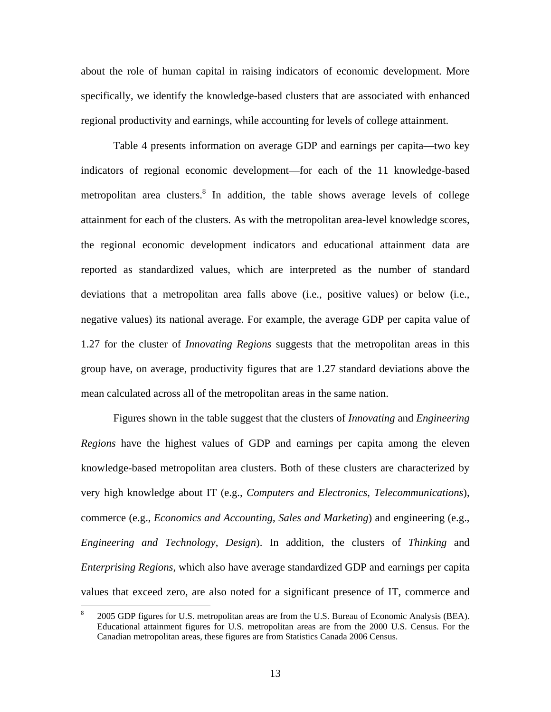about the role of human capital in raising indicators of economic development. More specifically, we identify the knowledge-based clusters that are associated with enhanced regional productivity and earnings, while accounting for levels of college attainment.

 Table 4 presents information on average GDP and earnings per capita—two key indicators of regional economic development—for each of the 11 knowledge-based metropolitan area clusters.<sup>8</sup> In addition, the table shows average levels of college attainment for each of the clusters. As with the metropolitan area-level knowledge scores, the regional economic development indicators and educational attainment data are reported as standardized values, which are interpreted as the number of standard deviations that a metropolitan area falls above (i.e., positive values) or below (i.e., negative values) its national average. For example, the average GDP per capita value of 1.27 for the cluster of *Innovating Regions* suggests that the metropolitan areas in this group have, on average, productivity figures that are 1.27 standard deviations above the mean calculated across all of the metropolitan areas in the same nation.

 Figures shown in the table suggest that the clusters of *Innovating* and *Engineering Regions* have the highest values of GDP and earnings per capita among the eleven knowledge-based metropolitan area clusters. Both of these clusters are characterized by very high knowledge about IT (e.g., *Computers and Electronics*, *Telecommunications*), commerce (e.g., *Economics and Accounting*, *Sales and Marketing*) and engineering (e.g., *Engineering and Technology*, *Design*). In addition, the clusters of *Thinking* and *Enterprising Regions*, which also have average standardized GDP and earnings per capita values that exceed zero, are also noted for a significant presence of IT, commerce and

 $\overline{a}$ 

<sup>8</sup> 2005 GDP figures for U.S. metropolitan areas are from the U.S. Bureau of Economic Analysis (BEA). Educational attainment figures for U.S. metropolitan areas are from the 2000 U.S. Census. For the Canadian metropolitan areas, these figures are from Statistics Canada 2006 Census.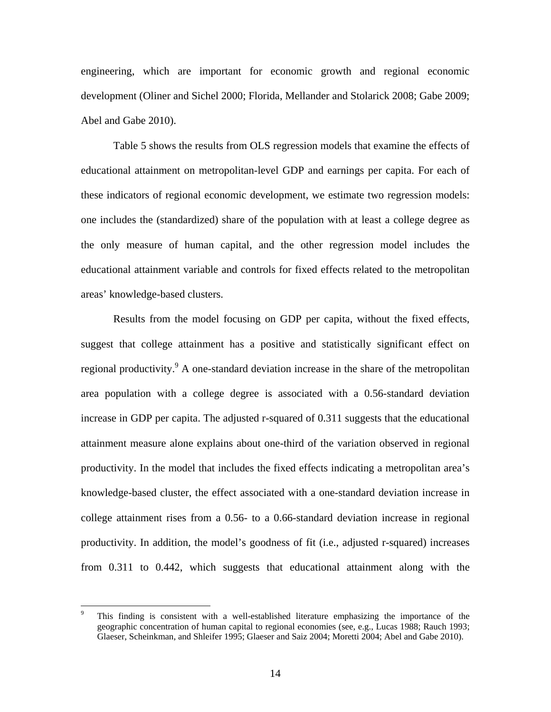engineering, which are important for economic growth and regional economic development (Oliner and Sichel 2000; Florida, Mellander and Stolarick 2008; Gabe 2009; Abel and Gabe 2010).

 Table 5 shows the results from OLS regression models that examine the effects of educational attainment on metropolitan-level GDP and earnings per capita. For each of these indicators of regional economic development, we estimate two regression models: one includes the (standardized) share of the population with at least a college degree as the only measure of human capital, and the other regression model includes the educational attainment variable and controls for fixed effects related to the metropolitan areas' knowledge-based clusters.

 Results from the model focusing on GDP per capita, without the fixed effects, suggest that college attainment has a positive and statistically significant effect on regional productivity.<sup>9</sup> A one-standard deviation increase in the share of the metropolitan area population with a college degree is associated with a 0.56-standard deviation increase in GDP per capita. The adjusted r-squared of 0.311 suggests that the educational attainment measure alone explains about one-third of the variation observed in regional productivity. In the model that includes the fixed effects indicating a metropolitan area's knowledge-based cluster, the effect associated with a one-standard deviation increase in college attainment rises from a 0.56- to a 0.66-standard deviation increase in regional productivity. In addition, the model's goodness of fit (i.e., adjusted r-squared) increases from 0.311 to 0.442, which suggests that educational attainment along with the

 $\overline{a}$ 

<sup>9</sup> This finding is consistent with a well-established literature emphasizing the importance of the geographic concentration of human capital to regional economies (see, e.g., Lucas 1988; Rauch 1993; Glaeser, Scheinkman, and Shleifer 1995; Glaeser and Saiz 2004; Moretti 2004; Abel and Gabe 2010).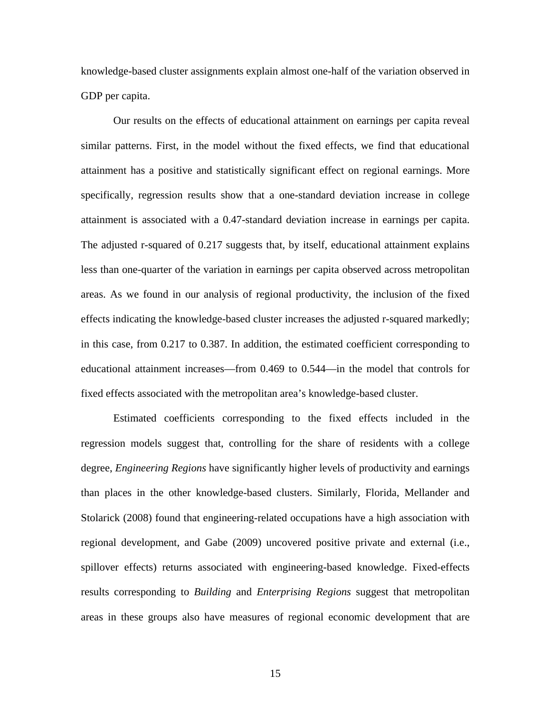knowledge-based cluster assignments explain almost one-half of the variation observed in GDP per capita.

 Our results on the effects of educational attainment on earnings per capita reveal similar patterns. First, in the model without the fixed effects, we find that educational attainment has a positive and statistically significant effect on regional earnings. More specifically, regression results show that a one-standard deviation increase in college attainment is associated with a 0.47-standard deviation increase in earnings per capita. The adjusted r-squared of 0.217 suggests that, by itself, educational attainment explains less than one-quarter of the variation in earnings per capita observed across metropolitan areas. As we found in our analysis of regional productivity, the inclusion of the fixed effects indicating the knowledge-based cluster increases the adjusted r-squared markedly; in this case, from 0.217 to 0.387. In addition, the estimated coefficient corresponding to educational attainment increases—from 0.469 to 0.544—in the model that controls for fixed effects associated with the metropolitan area's knowledge-based cluster.

 Estimated coefficients corresponding to the fixed effects included in the regression models suggest that, controlling for the share of residents with a college degree, *Engineering Regions* have significantly higher levels of productivity and earnings than places in the other knowledge-based clusters. Similarly, Florida, Mellander and Stolarick (2008) found that engineering-related occupations have a high association with regional development, and Gabe (2009) uncovered positive private and external (i.e., spillover effects) returns associated with engineering-based knowledge. Fixed-effects results corresponding to *Building* and *Enterprising Regions* suggest that metropolitan areas in these groups also have measures of regional economic development that are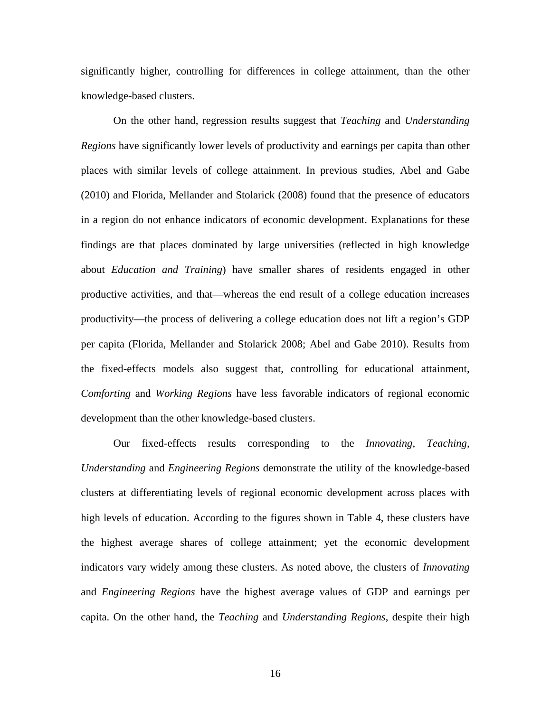significantly higher, controlling for differences in college attainment, than the other knowledge-based clusters.

On the other hand, regression results suggest that *Teaching* and *Understanding Regions* have significantly lower levels of productivity and earnings per capita than other places with similar levels of college attainment. In previous studies, Abel and Gabe (2010) and Florida, Mellander and Stolarick (2008) found that the presence of educators in a region do not enhance indicators of economic development. Explanations for these findings are that places dominated by large universities (reflected in high knowledge about *Education and Training*) have smaller shares of residents engaged in other productive activities, and that—whereas the end result of a college education increases productivity—the process of delivering a college education does not lift a region's GDP per capita (Florida, Mellander and Stolarick 2008; Abel and Gabe 2010). Results from the fixed-effects models also suggest that, controlling for educational attainment, *Comforting* and *Working Regions* have less favorable indicators of regional economic development than the other knowledge-based clusters.

Our fixed-effects results corresponding to the *Innovating*, *Teaching*, *Understanding* and *Engineering Regions* demonstrate the utility of the knowledge-based clusters at differentiating levels of regional economic development across places with high levels of education. According to the figures shown in Table 4, these clusters have the highest average shares of college attainment; yet the economic development indicators vary widely among these clusters. As noted above, the clusters of *Innovating* and *Engineering Regions* have the highest average values of GDP and earnings per capita. On the other hand, the *Teaching* and *Understanding Regions*, despite their high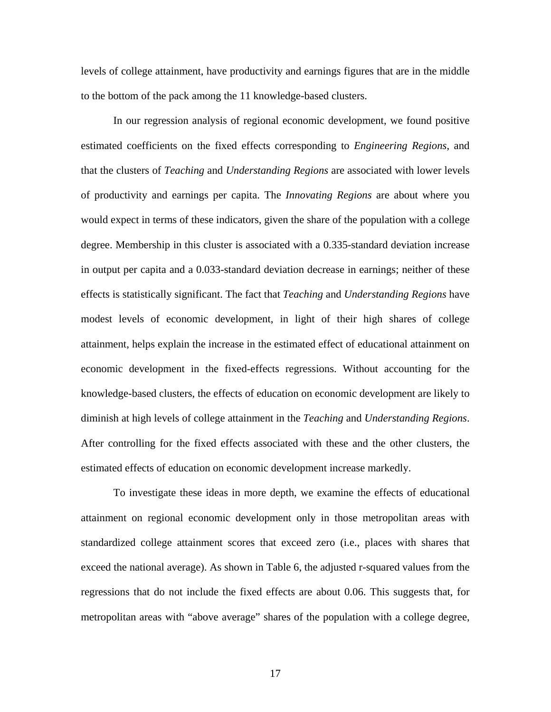levels of college attainment, have productivity and earnings figures that are in the middle to the bottom of the pack among the 11 knowledge-based clusters.

 In our regression analysis of regional economic development, we found positive estimated coefficients on the fixed effects corresponding to *Engineering Regions*, and that the clusters of *Teaching* and *Understanding Regions* are associated with lower levels of productivity and earnings per capita. The *Innovating Regions* are about where you would expect in terms of these indicators, given the share of the population with a college degree. Membership in this cluster is associated with a 0.335-standard deviation increase in output per capita and a 0.033-standard deviation decrease in earnings; neither of these effects is statistically significant. The fact that *Teaching* and *Understanding Regions* have modest levels of economic development, in light of their high shares of college attainment, helps explain the increase in the estimated effect of educational attainment on economic development in the fixed-effects regressions. Without accounting for the knowledge-based clusters, the effects of education on economic development are likely to diminish at high levels of college attainment in the *Teaching* and *Understanding Regions*. After controlling for the fixed effects associated with these and the other clusters, the estimated effects of education on economic development increase markedly.

 To investigate these ideas in more depth, we examine the effects of educational attainment on regional economic development only in those metropolitan areas with standardized college attainment scores that exceed zero (i.e., places with shares that exceed the national average). As shown in Table 6, the adjusted r-squared values from the regressions that do not include the fixed effects are about 0.06. This suggests that, for metropolitan areas with "above average" shares of the population with a college degree,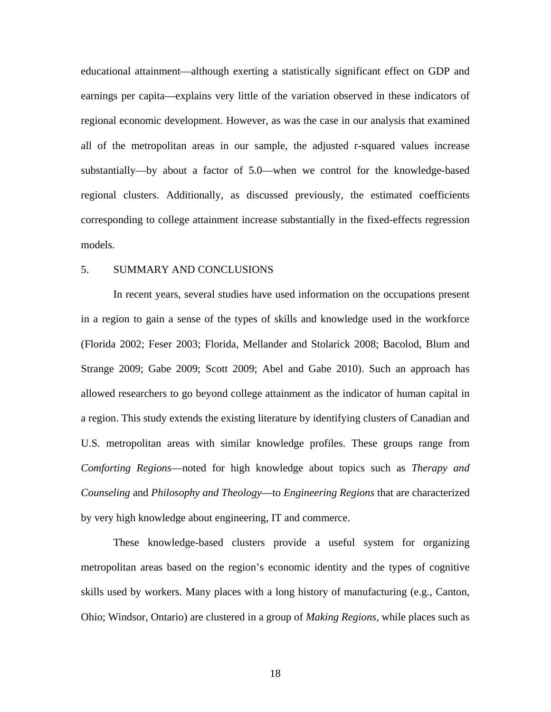educational attainment—although exerting a statistically significant effect on GDP and earnings per capita—explains very little of the variation observed in these indicators of regional economic development. However, as was the case in our analysis that examined all of the metropolitan areas in our sample, the adjusted r-squared values increase substantially—by about a factor of 5.0—when we control for the knowledge-based regional clusters. Additionally, as discussed previously, the estimated coefficients corresponding to college attainment increase substantially in the fixed-effects regression models.

# 5. SUMMARY AND CONCLUSIONS

 In recent years, several studies have used information on the occupations present in a region to gain a sense of the types of skills and knowledge used in the workforce (Florida 2002; Feser 2003; Florida, Mellander and Stolarick 2008; Bacolod, Blum and Strange 2009; Gabe 2009; Scott 2009; Abel and Gabe 2010). Such an approach has allowed researchers to go beyond college attainment as the indicator of human capital in a region. This study extends the existing literature by identifying clusters of Canadian and U.S. metropolitan areas with similar knowledge profiles. These groups range from *Comforting Regions*—noted for high knowledge about topics such as *Therapy and Counseling* and *Philosophy and Theology*—to *Engineering Regions* that are characterized by very high knowledge about engineering, IT and commerce.

 These knowledge-based clusters provide a useful system for organizing metropolitan areas based on the region's economic identity and the types of cognitive skills used by workers. Many places with a long history of manufacturing (e.g., Canton, Ohio; Windsor, Ontario) are clustered in a group of *Making Regions*, while places such as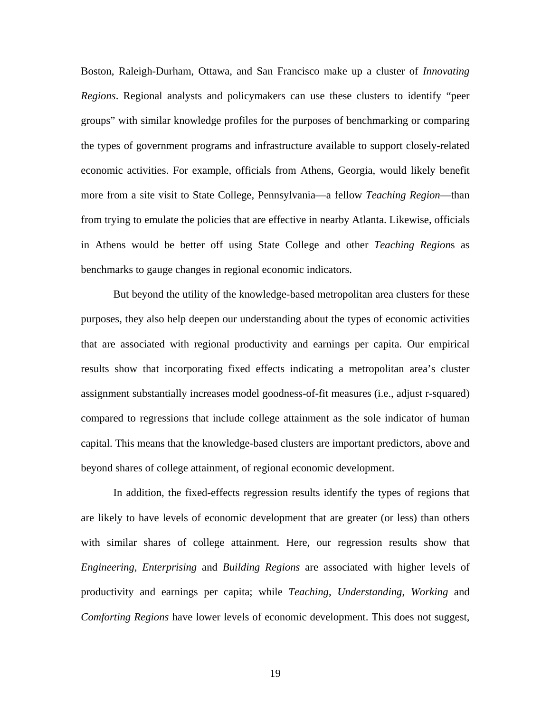Boston, Raleigh-Durham, Ottawa, and San Francisco make up a cluster of *Innovating Regions*. Regional analysts and policymakers can use these clusters to identify "peer groups" with similar knowledge profiles for the purposes of benchmarking or comparing the types of government programs and infrastructure available to support closely-related economic activities. For example, officials from Athens, Georgia, would likely benefit more from a site visit to State College, Pennsylvania—a fellow *Teaching Region*—than from trying to emulate the policies that are effective in nearby Atlanta. Likewise, officials in Athens would be better off using State College and other *Teaching Region*s as benchmarks to gauge changes in regional economic indicators.

 But beyond the utility of the knowledge-based metropolitan area clusters for these purposes, they also help deepen our understanding about the types of economic activities that are associated with regional productivity and earnings per capita. Our empirical results show that incorporating fixed effects indicating a metropolitan area's cluster assignment substantially increases model goodness-of-fit measures (i.e., adjust r-squared) compared to regressions that include college attainment as the sole indicator of human capital. This means that the knowledge-based clusters are important predictors, above and beyond shares of college attainment, of regional economic development.

 In addition, the fixed-effects regression results identify the types of regions that are likely to have levels of economic development that are greater (or less) than others with similar shares of college attainment. Here, our regression results show that *Engineering*, *Enterprising* and *Building Regions* are associated with higher levels of productivity and earnings per capita; while *Teaching*, *Understanding*, *Working* and *Comforting Regions* have lower levels of economic development. This does not suggest,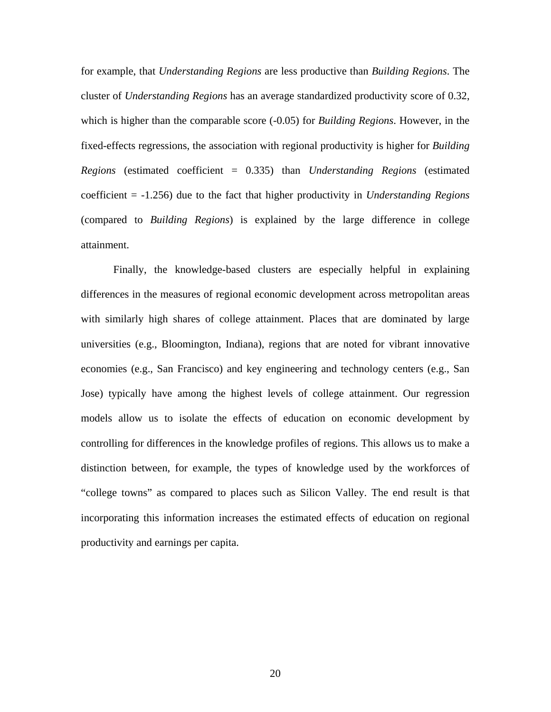for example, that *Understanding Regions* are less productive than *Building Regions*. The cluster of *Understanding Regions* has an average standardized productivity score of 0.32, which is higher than the comparable score (-0.05) for *Building Regions*. However, in the fixed-effects regressions, the association with regional productivity is higher for *Building Regions* (estimated coefficient = 0.335) than *Understanding Regions* (estimated coefficient = -1.256) due to the fact that higher productivity in *Understanding Regions* (compared to *Building Regions*) is explained by the large difference in college attainment.

 Finally, the knowledge-based clusters are especially helpful in explaining differences in the measures of regional economic development across metropolitan areas with similarly high shares of college attainment. Places that are dominated by large universities (e.g., Bloomington, Indiana), regions that are noted for vibrant innovative economies (e.g., San Francisco) and key engineering and technology centers (e.g., San Jose) typically have among the highest levels of college attainment. Our regression models allow us to isolate the effects of education on economic development by controlling for differences in the knowledge profiles of regions. This allows us to make a distinction between, for example, the types of knowledge used by the workforces of "college towns" as compared to places such as Silicon Valley. The end result is that incorporating this information increases the estimated effects of education on regional productivity and earnings per capita.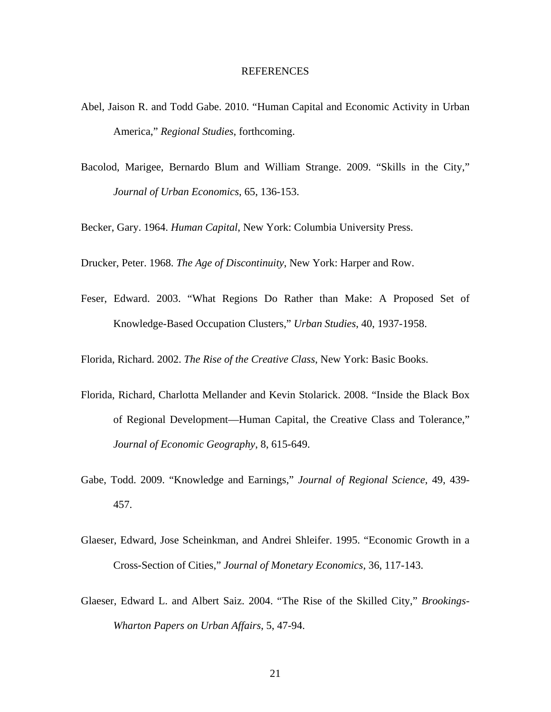## REFERENCES

- Abel, Jaison R. and Todd Gabe. 2010. "Human Capital and Economic Activity in Urban America," *Regional Studies*, forthcoming.
- Bacolod, Marigee, Bernardo Blum and William Strange. 2009. "Skills in the City," *Journal of Urban Economics*, 65, 136-153.

Becker, Gary. 1964. *Human Capital*, New York: Columbia University Press.

Drucker, Peter. 1968. *The Age of Discontinuity*, New York: Harper and Row.

Feser, Edward. 2003. "What Regions Do Rather than Make: A Proposed Set of Knowledge-Based Occupation Clusters," *Urban Studies*, 40, 1937-1958.

Florida, Richard. 2002. *The Rise of the Creative Class*, New York: Basic Books.

- Florida, Richard, Charlotta Mellander and Kevin Stolarick. 2008. "Inside the Black Box of Regional Development—Human Capital, the Creative Class and Tolerance," *Journal of Economic Geography*, 8, 615-649.
- Gabe, Todd. 2009. "Knowledge and Earnings," *Journal of Regional Science*, 49, 439- 457.
- Glaeser, Edward, Jose Scheinkman, and Andrei Shleifer. 1995. "Economic Growth in a Cross-Section of Cities," *Journal of Monetary Economics*, 36, 117-143.
- Glaeser, Edward L. and Albert Saiz. 2004. "The Rise of the Skilled City," *Brookings-Wharton Papers on Urban Affairs*, 5, 47-94.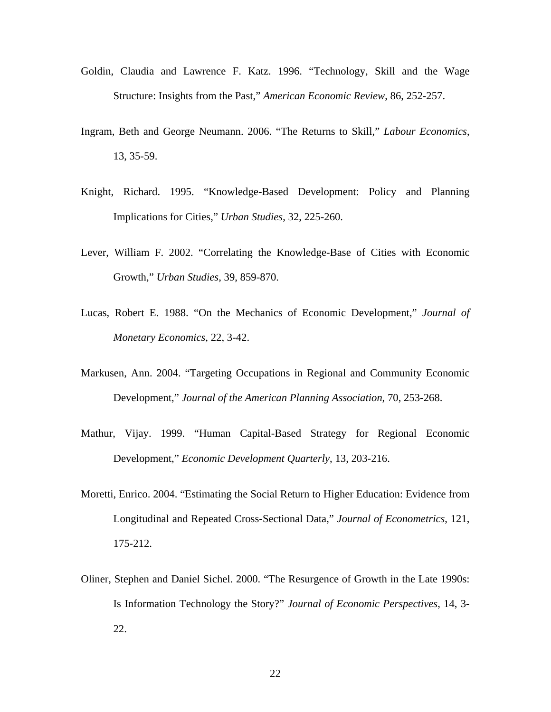- Goldin, Claudia and Lawrence F. Katz. 1996. "Technology, Skill and the Wage Structure: Insights from the Past," *American Economic Review*, 86, 252-257.
- Ingram, Beth and George Neumann. 2006. "The Returns to Skill," *Labour Economics*, 13, 35-59.
- Knight, Richard. 1995. "Knowledge-Based Development: Policy and Planning Implications for Cities," *Urban Studies*, 32, 225-260.
- Lever, William F. 2002. "Correlating the Knowledge-Base of Cities with Economic Growth," *Urban Studies*, 39, 859-870.
- Lucas, Robert E. 1988. "On the Mechanics of Economic Development," *Journal of Monetary Economics*, 22, 3-42.
- Markusen, Ann. 2004. "Targeting Occupations in Regional and Community Economic Development," *Journal of the American Planning Association*, 70, 253-268.
- Mathur, Vijay. 1999. "Human Capital-Based Strategy for Regional Economic Development," *Economic Development Quarterly*, 13, 203-216.
- Moretti, Enrico. 2004. "Estimating the Social Return to Higher Education: Evidence from Longitudinal and Repeated Cross-Sectional Data," *Journal of Econometrics*, 121, 175-212.
- Oliner, Stephen and Daniel Sichel. 2000. "The Resurgence of Growth in the Late 1990s: Is Information Technology the Story?" *Journal of Economic Perspectives*, 14, 3- 22.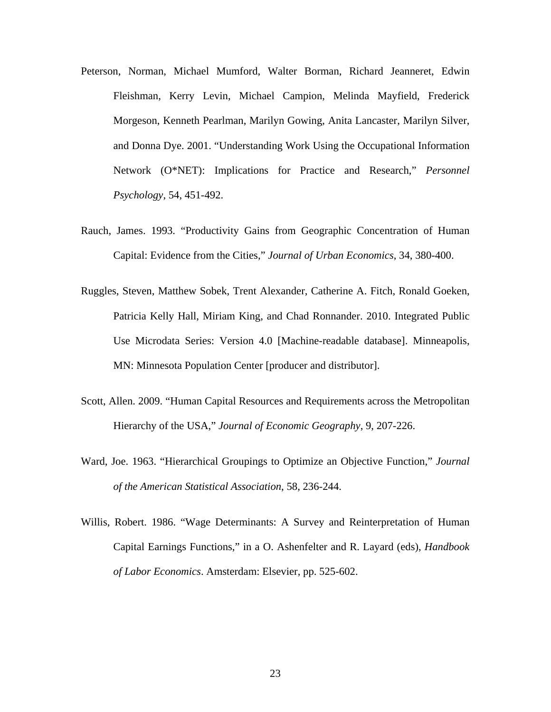- Peterson, Norman, Michael Mumford, Walter Borman, Richard Jeanneret, Edwin Fleishman, Kerry Levin, Michael Campion, Melinda Mayfield, Frederick Morgeson, Kenneth Pearlman, Marilyn Gowing, Anita Lancaster, Marilyn Silver, and Donna Dye. 2001. "Understanding Work Using the Occupational Information Network (O\*NET): Implications for Practice and Research," *Personnel Psychology*, 54, 451-492.
- Rauch, James. 1993. "Productivity Gains from Geographic Concentration of Human Capital: Evidence from the Cities," *Journal of Urban Economics*, 34, 380-400.
- Ruggles, Steven, Matthew Sobek, Trent Alexander, Catherine A. Fitch, Ronald Goeken, Patricia Kelly Hall, Miriam King, and Chad Ronnander. 2010. Integrated Public Use Microdata Series: Version 4.0 [Machine-readable database]. Minneapolis, MN: Minnesota Population Center [producer and distributor].
- Scott, Allen. 2009. "Human Capital Resources and Requirements across the Metropolitan Hierarchy of the USA," *Journal of Economic Geography*, 9, 207-226.
- Ward, Joe. 1963. "Hierarchical Groupings to Optimize an Objective Function," *Journal of the American Statistical Association*, 58, 236-244.
- Willis, Robert. 1986. "Wage Determinants: A Survey and Reinterpretation of Human Capital Earnings Functions," in a O. Ashenfelter and R. Layard (eds), *Handbook of Labor Economics*. Amsterdam: Elsevier, pp. 525-602.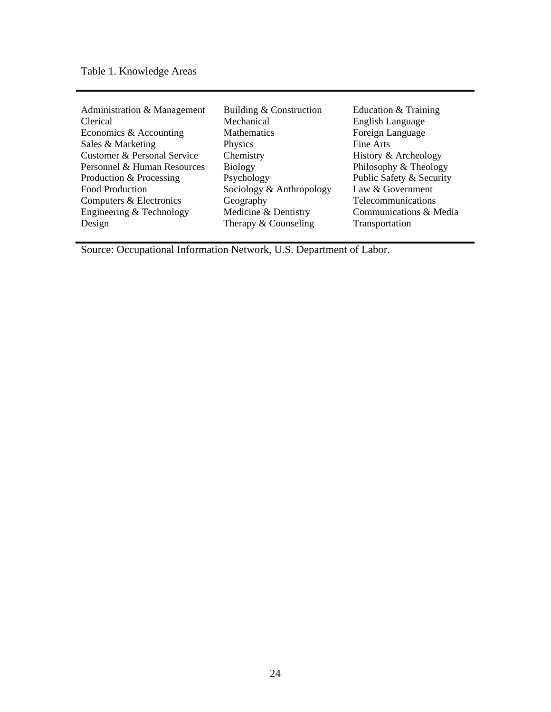Table 1. Knowledge Areas

| Administration & Management | Building & Construction  | Education & Training     |
|-----------------------------|--------------------------|--------------------------|
| Clerical                    | Mechanical               | English Language         |
| Economics & Accounting      | <b>Mathematics</b>       | Foreign Language         |
| Sales & Marketing           | Physics                  | Fine Arts                |
| Customer & Personal Service | Chemistry                | History & Archeology     |
| Personnel & Human Resources | <b>Biology</b>           | Philosophy & Theology    |
| Production & Processing     | Psychology               | Public Safety & Security |
| Food Production             | Sociology & Anthropology | Law & Government         |
| Computers & Electronics     | Geography                | Telecommunications       |
| Engineering & Technology    | Medicine & Dentistry     | Communications & Media   |
| Design                      | Therapy & Counseling     | Transportation           |

Source: Occupational Information Network, U.S. Department of Labor.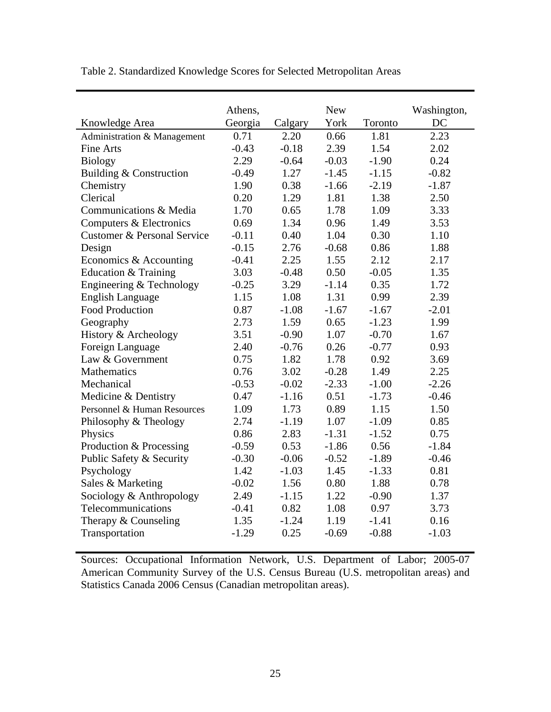|                             | Athens, |         | <b>New</b> |         | Washington, |
|-----------------------------|---------|---------|------------|---------|-------------|
| Knowledge Area              | Georgia | Calgary | York       | Toronto | DC          |
| Administration & Management | 0.71    | 2.20    | 0.66       | 1.81    | 2.23        |
| <b>Fine Arts</b>            | $-0.43$ | $-0.18$ | 2.39       | 1.54    | 2.02        |
| <b>Biology</b>              | 2.29    | $-0.64$ | $-0.03$    | $-1.90$ | 0.24        |
| Building & Construction     | $-0.49$ | 1.27    | $-1.45$    | $-1.15$ | $-0.82$     |
| Chemistry                   | 1.90    | 0.38    | $-1.66$    | $-2.19$ | $-1.87$     |
| Clerical                    | 0.20    | 1.29    | 1.81       | 1.38    | 2.50        |
| Communications & Media      | 1.70    | 0.65    | 1.78       | 1.09    | 3.33        |
| Computers & Electronics     | 0.69    | 1.34    | 0.96       | 1.49    | 3.53        |
| Customer & Personal Service | $-0.11$ | 0.40    | 1.04       | 0.30    | 1.10        |
| Design                      | $-0.15$ | 2.76    | $-0.68$    | 0.86    | 1.88        |
| Economics & Accounting      | $-0.41$ | 2.25    | 1.55       | 2.12    | 2.17        |
| Education & Training        | 3.03    | $-0.48$ | 0.50       | $-0.05$ | 1.35        |
| Engineering & Technology    | $-0.25$ | 3.29    | $-1.14$    | 0.35    | 1.72        |
| <b>English Language</b>     | 1.15    | 1.08    | 1.31       | 0.99    | 2.39        |
| <b>Food Production</b>      | 0.87    | $-1.08$ | $-1.67$    | $-1.67$ | $-2.01$     |
| Geography                   | 2.73    | 1.59    | 0.65       | $-1.23$ | 1.99        |
| History & Archeology        | 3.51    | $-0.90$ | 1.07       | $-0.70$ | 1.67        |
| Foreign Language            | 2.40    | $-0.76$ | 0.26       | $-0.77$ | 0.93        |
| Law & Government            | 0.75    | 1.82    | 1.78       | 0.92    | 3.69        |
| Mathematics                 | 0.76    | 3.02    | $-0.28$    | 1.49    | 2.25        |
| Mechanical                  | $-0.53$ | $-0.02$ | $-2.33$    | $-1.00$ | $-2.26$     |
| Medicine & Dentistry        | 0.47    | $-1.16$ | 0.51       | $-1.73$ | $-0.46$     |
| Personnel & Human Resources | 1.09    | 1.73    | 0.89       | 1.15    | 1.50        |
| Philosophy & Theology       | 2.74    | $-1.19$ | 1.07       | $-1.09$ | 0.85        |
| Physics                     | 0.86    | 2.83    | $-1.31$    | $-1.52$ | 0.75        |
| Production & Processing     | $-0.59$ | 0.53    | $-1.86$    | 0.56    | $-1.84$     |
| Public Safety & Security    | $-0.30$ | $-0.06$ | $-0.52$    | $-1.89$ | $-0.46$     |
| Psychology                  | 1.42    | $-1.03$ | 1.45       | $-1.33$ | 0.81        |
| Sales & Marketing           | $-0.02$ | 1.56    | 0.80       | 1.88    | 0.78        |
| Sociology & Anthropology    | 2.49    | $-1.15$ | 1.22       | $-0.90$ | 1.37        |
| Telecommunications          | $-0.41$ | 0.82    | 1.08       | 0.97    | 3.73        |
| Therapy & Counseling        | 1.35    | $-1.24$ | 1.19       | $-1.41$ | 0.16        |
| Transportation              | $-1.29$ | 0.25    | $-0.69$    | $-0.88$ | $-1.03$     |

Table 2. Standardized Knowledge Scores for Selected Metropolitan Areas

Sources: Occupational Information Network, U.S. Department of Labor; 2005-07 American Community Survey of the U.S. Census Bureau (U.S. metropolitan areas) and Statistics Canada 2006 Census (Canadian metropolitan areas).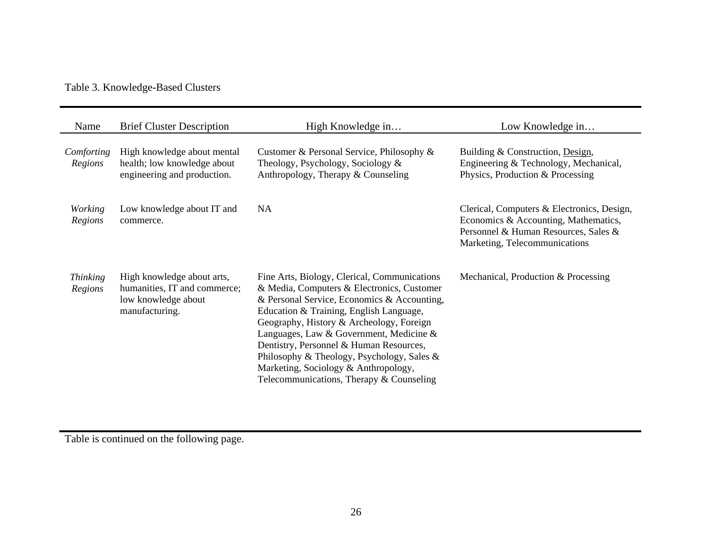Table 3. Knowledge-Based Clusters

| Name                       | <b>Brief Cluster Description</b>                                                                    | High Knowledge in                                                                                                                                                                                                                                                                                                                                                                                                                                        | Low Knowledge in                                                                                                                                            |
|----------------------------|-----------------------------------------------------------------------------------------------------|----------------------------------------------------------------------------------------------------------------------------------------------------------------------------------------------------------------------------------------------------------------------------------------------------------------------------------------------------------------------------------------------------------------------------------------------------------|-------------------------------------------------------------------------------------------------------------------------------------------------------------|
| Comforting<br>Regions      | High knowledge about mental<br>health; low knowledge about<br>engineering and production.           | Customer & Personal Service, Philosophy &<br>Theology, Psychology, Sociology $\&$<br>Anthropology, Therapy & Counseling                                                                                                                                                                                                                                                                                                                                  | Building & Construction, Design,<br>Engineering & Technology, Mechanical,<br>Physics, Production & Processing                                               |
| <b>Working</b><br>Regions  | Low knowledge about IT and<br>commerce.                                                             | <b>NA</b>                                                                                                                                                                                                                                                                                                                                                                                                                                                | Clerical, Computers & Electronics, Design,<br>Economics & Accounting, Mathematics,<br>Personnel & Human Resources, Sales &<br>Marketing, Telecommunications |
| <i>Thinking</i><br>Regions | High knowledge about arts,<br>humanities, IT and commerce;<br>low knowledge about<br>manufacturing. | Fine Arts, Biology, Clerical, Communications<br>& Media, Computers & Electronics, Customer<br>& Personal Service, Economics & Accounting,<br>Education & Training, English Language,<br>Geography, History & Archeology, Foreign<br>Languages, Law & Government, Medicine &<br>Dentistry, Personnel & Human Resources,<br>Philosophy & Theology, Psychology, Sales &<br>Marketing, Sociology & Anthropology,<br>Telecommunications, Therapy & Counseling | Mechanical, Production & Processing                                                                                                                         |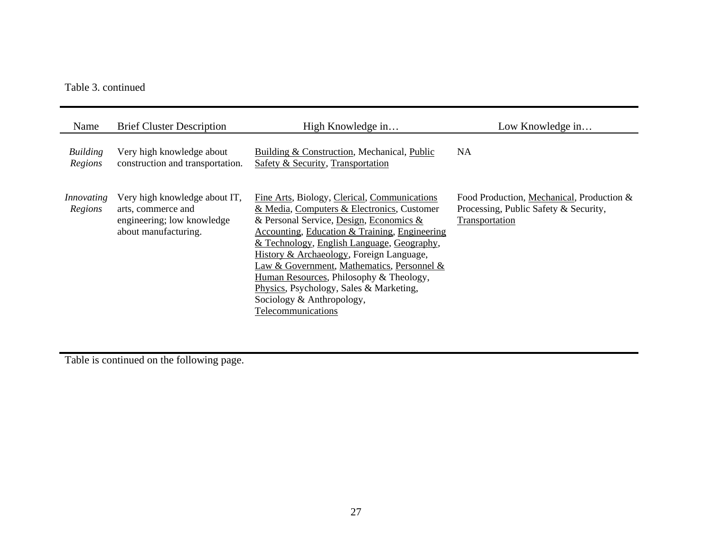## Table 3. continued

| Name                  | <b>Brief Cluster Description</b>                                                                          | High Knowledge in                                                                                                                                                                                                                                                                                                                                                                                                                                                       | Low Knowledge in                                                                                     |
|-----------------------|-----------------------------------------------------------------------------------------------------------|-------------------------------------------------------------------------------------------------------------------------------------------------------------------------------------------------------------------------------------------------------------------------------------------------------------------------------------------------------------------------------------------------------------------------------------------------------------------------|------------------------------------------------------------------------------------------------------|
| Building<br>Regions   | Very high knowledge about<br>construction and transportation.                                             | Building & Construction, Mechanical, Public<br>Safety & Security, Transportation                                                                                                                                                                                                                                                                                                                                                                                        | <b>NA</b>                                                                                            |
| Innovating<br>Regions | Very high knowledge about IT,<br>arts, commerce and<br>engineering; low knowledge<br>about manufacturing. | Fine Arts, Biology, Clerical, Communications<br>& Media, Computers & Electronics, Customer<br>& Personal Service, Design, Economics &<br>Accounting, Education & Training, Engineering<br>& Technology, English Language, Geography,<br>History & Archaeology, Foreign Language,<br>Law & Government, Mathematics, Personnel &<br>Human Resources, Philosophy & Theology,<br>Physics, Psychology, Sales & Marketing,<br>Sociology & Anthropology,<br>Telecommunications | Food Production, Mechanical, Production &<br>Processing, Public Safety & Security,<br>Transportation |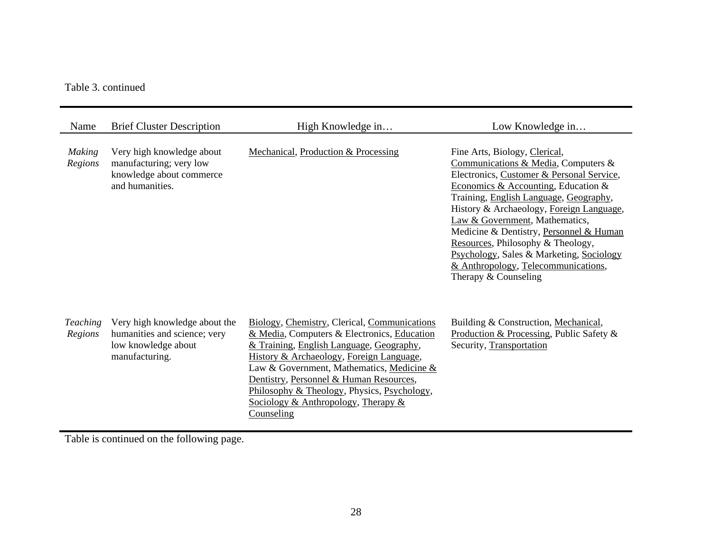Table 3. continued

| Name                       | <b>Brief Cluster Description</b>                                                                       | High Knowledge in                                                                                                                                                                                                                                                                                                                                                                  | Low Knowledge in                                                                                                                                                                                                                                                                                                                                                                                                                                                            |
|----------------------------|--------------------------------------------------------------------------------------------------------|------------------------------------------------------------------------------------------------------------------------------------------------------------------------------------------------------------------------------------------------------------------------------------------------------------------------------------------------------------------------------------|-----------------------------------------------------------------------------------------------------------------------------------------------------------------------------------------------------------------------------------------------------------------------------------------------------------------------------------------------------------------------------------------------------------------------------------------------------------------------------|
| <b>Making</b><br>Regions   | Very high knowledge about<br>manufacturing; very low<br>knowledge about commerce<br>and humanities.    | Mechanical, Production & Processing                                                                                                                                                                                                                                                                                                                                                | Fine Arts, Biology, Clerical,<br>Communications & Media, Computers &<br>Electronics, Customer & Personal Service,<br>Economics & Accounting, Education &<br>Training, English Language, Geography,<br>History & Archaeology, Foreign Language,<br>Law & Government, Mathematics,<br>Medicine & Dentistry, Personnel & Human<br>Resources, Philosophy & Theology,<br>Psychology, Sales & Marketing, Sociology<br>& Anthropology, Telecommunications,<br>Therapy & Counseling |
| <b>Teaching</b><br>Regions | Very high knowledge about the<br>humanities and science; very<br>low knowledge about<br>manufacturing. | Biology, Chemistry, Clerical, Communications<br>& Media, Computers & Electronics, Education<br>& Training, English Language, Geography,<br>History & Archaeology, Foreign Language,<br>Law & Government, Mathematics, Medicine &<br>Dentistry, Personnel & Human Resources,<br>Philosophy & Theology, Physics, Psychology,<br>Sociology & Anthropology, Therapy $\&$<br>Counseling | Building & Construction, Mechanical,<br>Production & Processing, Public Safety &<br>Security, Transportation                                                                                                                                                                                                                                                                                                                                                                |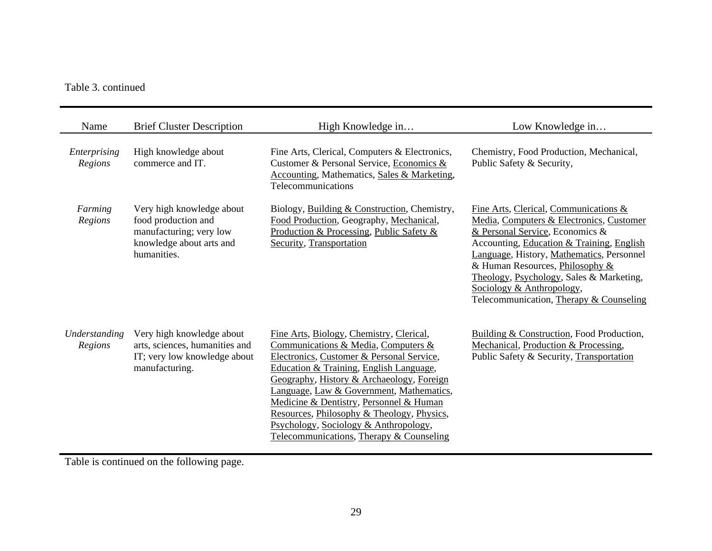## Table 3. continued

| Name                     | <b>Brief Cluster Description</b>                                                                                       | High Knowledge in                                                                                                                                                                                                                                                                                                                                                                                                                              | Low Knowledge in                                                                                                                                                                                                                                                                                                                                                      |
|--------------------------|------------------------------------------------------------------------------------------------------------------------|------------------------------------------------------------------------------------------------------------------------------------------------------------------------------------------------------------------------------------------------------------------------------------------------------------------------------------------------------------------------------------------------------------------------------------------------|-----------------------------------------------------------------------------------------------------------------------------------------------------------------------------------------------------------------------------------------------------------------------------------------------------------------------------------------------------------------------|
| Enterprising<br>Regions  | High knowledge about<br>commerce and IT.                                                                               | Fine Arts, Clerical, Computers & Electronics,<br>Customer & Personal Service, Economics &<br><b>Accounting, Mathematics, Sales &amp; Marketing,</b><br>Telecommunications                                                                                                                                                                                                                                                                      | Chemistry, Food Production, Mechanical,<br>Public Safety & Security,                                                                                                                                                                                                                                                                                                  |
| Farming<br>Regions       | Very high knowledge about<br>food production and<br>manufacturing; very low<br>knowledge about arts and<br>humanities. | Biology, Building & Construction, Chemistry,<br>Food Production, Geography, Mechanical,<br>Production & Processing, Public Safety &<br>Security, Transportation                                                                                                                                                                                                                                                                                | Fine Arts, Clerical, Communications &<br>Media, Computers & Electronics, Customer<br>& Personal Service, Economics &<br>Accounting, Education & Training, English<br>Language, History, Mathematics, Personnel<br>& Human Resources, Philosophy &<br>Theology, Psychology, Sales & Marketing,<br>Sociology & Anthropology,<br>Telecommunication, Therapy & Counseling |
| Understanding<br>Regions | Very high knowledge about<br>arts, sciences, humanities and<br>IT; very low knowledge about<br>manufacturing.          | Fine Arts, Biology, Chemistry, Clerical,<br>Communications & Media, Computers &<br>Electronics, Customer & Personal Service,<br>Education & Training, English Language,<br>Geography, History & Archaeology, Foreign<br>Language, Law & Government, Mathematics,<br>Medicine & Dentistry, Personnel & Human<br>Resources, Philosophy & Theology, Physics,<br>Psychology, Sociology & Anthropology,<br>Telecommunications, Therapy & Counseling | Building & Construction, Food Production,<br>Mechanical, Production & Processing,<br>Public Safety & Security, Transportation                                                                                                                                                                                                                                         |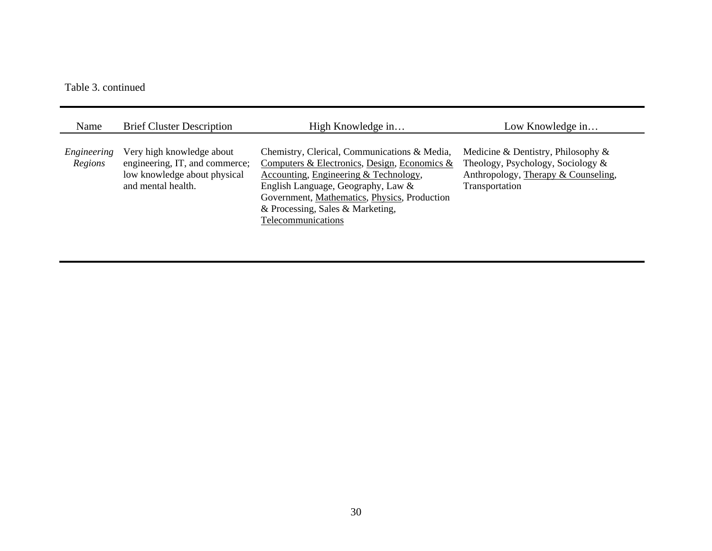#### Table 3. continued

| Name                   | <b>Brief Cluster Description</b>                                                                                  | High Knowledge in                                                                                                                                                                                                                                                                     | Low Knowledge in                                                                                                                    |
|------------------------|-------------------------------------------------------------------------------------------------------------------|---------------------------------------------------------------------------------------------------------------------------------------------------------------------------------------------------------------------------------------------------------------------------------------|-------------------------------------------------------------------------------------------------------------------------------------|
| Engineering<br>Regions | Very high knowledge about<br>engineering, IT, and commerce;<br>low knowledge about physical<br>and mental health. | Chemistry, Clerical, Communications & Media,<br>Computers & Electronics, Design, Economics &<br>Accounting, Engineering & Technology,<br>English Language, Geography, Law &<br>Government, Mathematics, Physics, Production<br>& Processing, Sales & Marketing,<br>Telecommunications | Medicine & Dentistry, Philosophy $\&$<br>Theology, Psychology, Sociology &<br>Anthropology, Therapy & Counseling,<br>Transportation |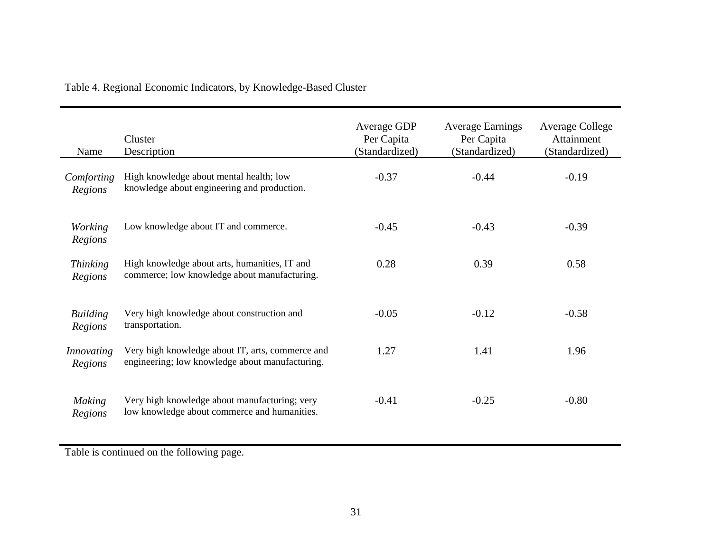| Name                       | Cluster<br>Description                                                                              | Average GDP<br>Per Capita<br>(Standardized) | <b>Average Earnings</b><br>Per Capita<br>(Standardized) | <b>Average College</b><br>Attainment<br>(Standardized) |
|----------------------------|-----------------------------------------------------------------------------------------------------|---------------------------------------------|---------------------------------------------------------|--------------------------------------------------------|
| Comforting<br>Regions      | High knowledge about mental health; low<br>knowledge about engineering and production.              | $-0.37$                                     | $-0.44$                                                 | $-0.19$                                                |
| <i>Working</i><br>Regions  | Low knowledge about IT and commerce.                                                                | $-0.45$                                     | $-0.43$                                                 | $-0.39$                                                |
| <b>Thinking</b><br>Regions | High knowledge about arts, humanities, IT and<br>commerce; low knowledge about manufacturing.       | 0.28                                        | 0.39                                                    | 0.58                                                   |
| <b>Building</b><br>Regions | Very high knowledge about construction and<br>transportation.                                       | $-0.05$                                     | $-0.12$                                                 | $-0.58$                                                |
| Innovating<br>Regions      | Very high knowledge about IT, arts, commerce and<br>engineering; low knowledge about manufacturing. | 1.27                                        | 1.41                                                    | 1.96                                                   |
| <b>Making</b><br>Regions   | Very high knowledge about manufacturing; very<br>low knowledge about commerce and humanities.       | $-0.41$                                     | $-0.25$                                                 | $-0.80$                                                |

Table 4. Regional Economic Indicators, by Knowledge-Based Cluster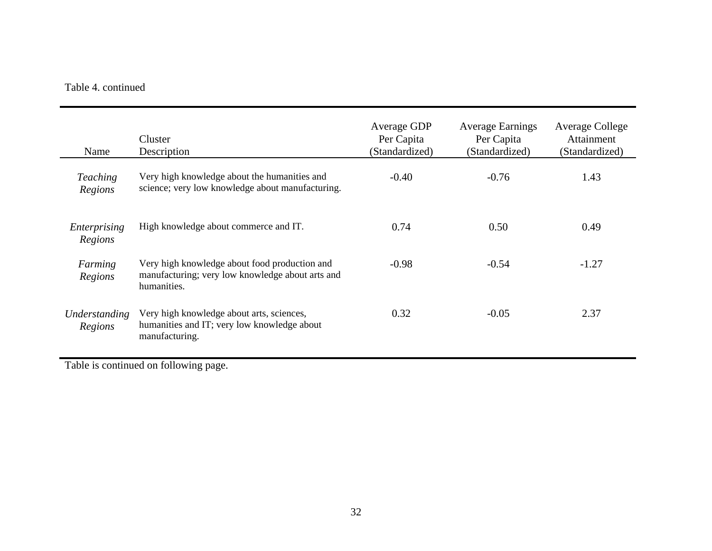## Table 4. continued

| Name                       | Cluster<br>Description                                                                                           | Average GDP<br>Per Capita<br>(Standardized) | <b>Average Earnings</b><br>Per Capita<br>(Standardized) | Average College<br>Attainment<br>(Standardized) |
|----------------------------|------------------------------------------------------------------------------------------------------------------|---------------------------------------------|---------------------------------------------------------|-------------------------------------------------|
| <b>Teaching</b><br>Regions | Very high knowledge about the humanities and<br>science; very low knowledge about manufacturing.                 | $-0.40$                                     | $-0.76$                                                 | 1.43                                            |
| Enterprising<br>Regions    | High knowledge about commerce and IT.                                                                            | 0.74                                        | 0.50                                                    | 0.49                                            |
| Farming<br>Regions         | Very high knowledge about food production and<br>manufacturing; very low knowledge about arts and<br>humanities. | $-0.98$                                     | $-0.54$                                                 | $-1.27$                                         |
| Understanding<br>Regions   | Very high knowledge about arts, sciences,<br>humanities and IT; very low knowledge about<br>manufacturing.       | 0.32                                        | $-0.05$                                                 | 2.37                                            |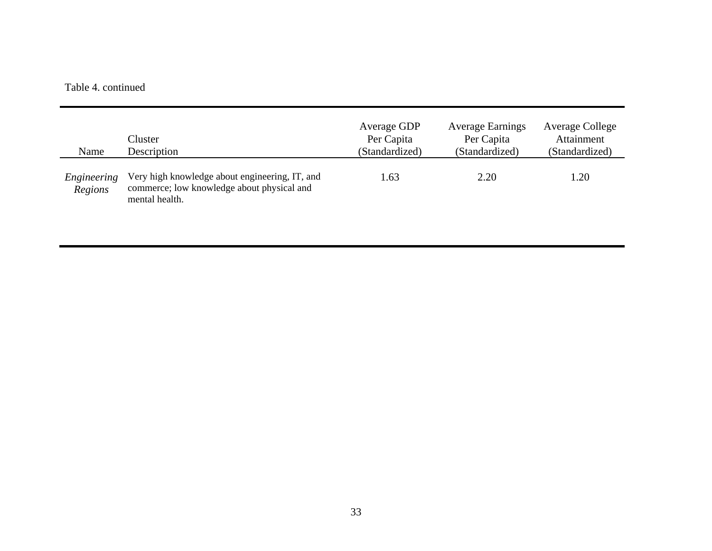#### Table 4. continued

| Name                   | Cluster<br>Description                                                                                         | Average GDP<br>Per Capita<br>(Standardized) | <b>Average Earnings</b><br>Per Capita<br>(Standardized) | Average College<br>Attainment<br>(Standardized) |
|------------------------|----------------------------------------------------------------------------------------------------------------|---------------------------------------------|---------------------------------------------------------|-------------------------------------------------|
| Engineering<br>Regions | Very high knowledge about engineering, IT, and<br>commerce; low knowledge about physical and<br>mental health. | 1.63                                        | 2.20                                                    | 1.20                                            |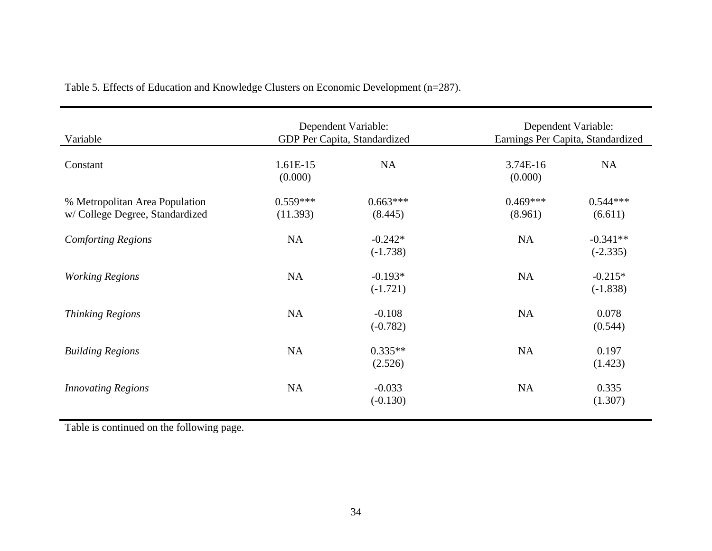| Variable                                                         | Dependent Variable:<br>GDP Per Capita, Standardized |                         | Dependent Variable:<br>Earnings Per Capita, Standardized |                          |
|------------------------------------------------------------------|-----------------------------------------------------|-------------------------|----------------------------------------------------------|--------------------------|
| Constant                                                         | 1.61E-15<br>(0.000)                                 | NA                      | 3.74E-16<br>(0.000)                                      | NA                       |
| % Metropolitan Area Population<br>w/College Degree, Standardized | $0.559***$<br>(11.393)                              | $0.663***$<br>(8.445)   | $0.469***$<br>(8.961)                                    | $0.544***$<br>(6.611)    |
| <b>Comforting Regions</b>                                        | NA                                                  | $-0.242*$<br>$(-1.738)$ | <b>NA</b>                                                | $-0.341**$<br>$(-2.335)$ |
| <b>Working Regions</b>                                           | <b>NA</b>                                           | $-0.193*$<br>$(-1.721)$ | <b>NA</b>                                                | $-0.215*$<br>$(-1.838)$  |
| <b>Thinking Regions</b>                                          | NA                                                  | $-0.108$<br>$(-0.782)$  | <b>NA</b>                                                | 0.078<br>(0.544)         |
| <b>Building Regions</b>                                          | <b>NA</b>                                           | $0.335**$<br>(2.526)    | <b>NA</b>                                                | 0.197<br>(1.423)         |
| <b>Innovating Regions</b>                                        | <b>NA</b>                                           | $-0.033$<br>$(-0.130)$  | <b>NA</b>                                                | 0.335<br>(1.307)         |

Table 5. Effects of Education and Knowledge Clusters on Economic Development (n=287).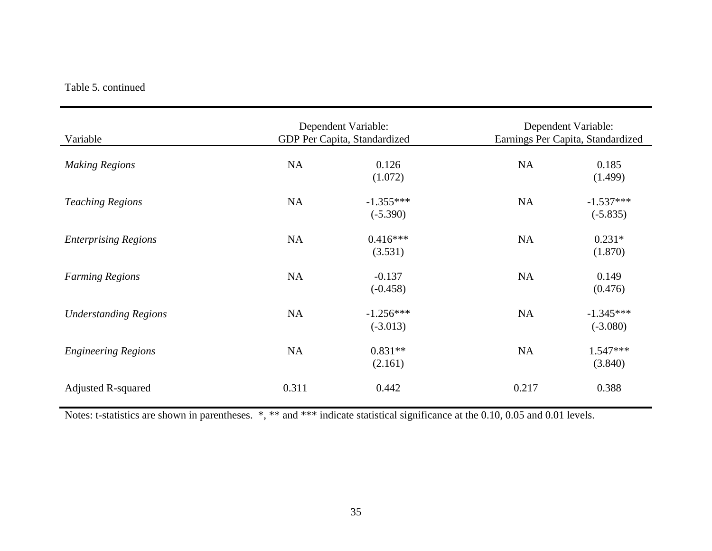## Table 5. continued

| Variable                     | Dependent Variable:<br>GDP Per Capita, Standardized |                           | Dependent Variable:<br>Earnings Per Capita, Standardized |                           |
|------------------------------|-----------------------------------------------------|---------------------------|----------------------------------------------------------|---------------------------|
| <b>Making Regions</b>        | <b>NA</b>                                           | 0.126<br>(1.072)          | NA                                                       | 0.185<br>(1.499)          |
| <b>Teaching Regions</b>      | <b>NA</b>                                           | $-1.355***$<br>$(-5.390)$ | <b>NA</b>                                                | $-1.537***$<br>$(-5.835)$ |
| <b>Enterprising Regions</b>  | NA                                                  | $0.416***$<br>(3.531)     | <b>NA</b>                                                | $0.231*$<br>(1.870)       |
| <b>Farming Regions</b>       | NA                                                  | $-0.137$<br>$(-0.458)$    | <b>NA</b>                                                | 0.149<br>(0.476)          |
| <b>Understanding Regions</b> | <b>NA</b>                                           | $-1.256***$<br>$(-3.013)$ | <b>NA</b>                                                | $-1.345***$<br>$(-3.080)$ |
| <b>Engineering Regions</b>   | <b>NA</b>                                           | $0.831**$<br>(2.161)      | <b>NA</b>                                                | $1.547***$<br>(3.840)     |
| <b>Adjusted R-squared</b>    | 0.311                                               | 0.442                     | 0.217                                                    | 0.388                     |

Notes: t-statistics are shown in parentheses. \*, \*\* and \*\*\* indicate statistical significance at the 0.10, 0.05 and 0.01 levels.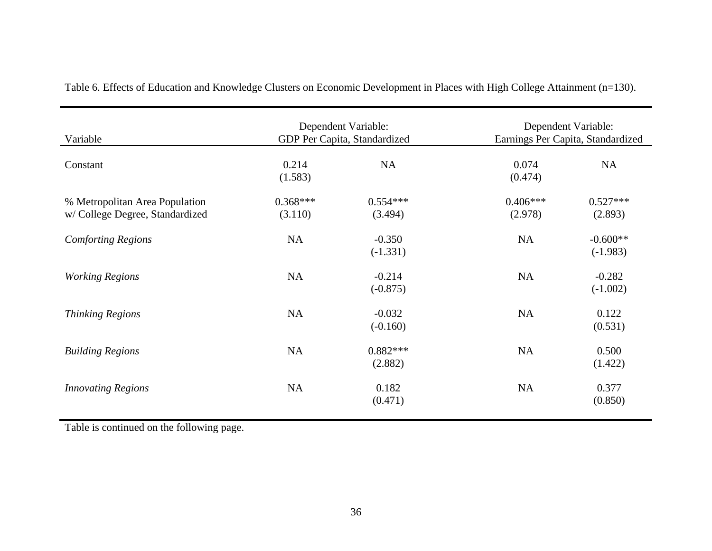| Variable                                                         | Dependent Variable:<br>GDP Per Capita, Standardized |                        | Dependent Variable:<br>Earnings Per Capita, Standardized |                          |
|------------------------------------------------------------------|-----------------------------------------------------|------------------------|----------------------------------------------------------|--------------------------|
| Constant                                                         | 0.214<br>(1.583)                                    | <b>NA</b>              | 0.074<br>(0.474)                                         | <b>NA</b>                |
| % Metropolitan Area Population<br>w/College Degree, Standardized | $0.368***$<br>(3.110)                               | $0.554***$<br>(3.494)  | $0.406***$<br>(2.978)                                    | $0.527***$<br>(2.893)    |
| <b>Comforting Regions</b>                                        | <b>NA</b>                                           | $-0.350$<br>$(-1.331)$ | <b>NA</b>                                                | $-0.600**$<br>$(-1.983)$ |
| <b>Working Regions</b>                                           | <b>NA</b>                                           | $-0.214$<br>$(-0.875)$ | <b>NA</b>                                                | $-0.282$<br>$(-1.002)$   |
| <b>Thinking Regions</b>                                          | <b>NA</b>                                           | $-0.032$<br>$(-0.160)$ | <b>NA</b>                                                | 0.122<br>(0.531)         |
| <b>Building Regions</b>                                          | <b>NA</b>                                           | $0.882***$<br>(2.882)  | <b>NA</b>                                                | 0.500<br>(1.422)         |
| <b>Innovating Regions</b>                                        | <b>NA</b>                                           | 0.182<br>(0.471)       | <b>NA</b>                                                | 0.377<br>(0.850)         |

Table 6. Effects of Education and Knowledge Clusters on Economic Development in Places with High College Attainment (n=130).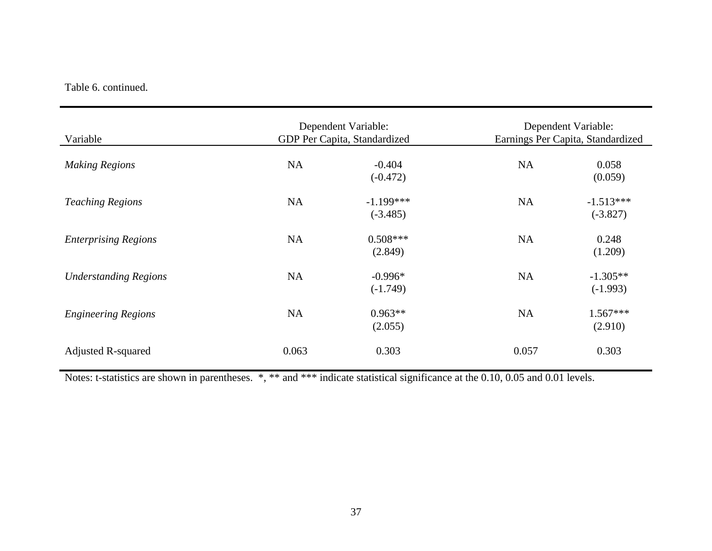## Table 6. continued.

| Variable                     |           | Dependent Variable:<br>GDP Per Capita, Standardized |           | Dependent Variable:<br>Earnings Per Capita, Standardized |
|------------------------------|-----------|-----------------------------------------------------|-----------|----------------------------------------------------------|
| <b>Making Regions</b>        | <b>NA</b> | $-0.404$<br>$(-0.472)$                              | <b>NA</b> | 0.058<br>(0.059)                                         |
| <b>Teaching Regions</b>      | <b>NA</b> | $-1.199***$<br>$(-3.485)$                           | <b>NA</b> | $-1.513***$<br>$(-3.827)$                                |
| <b>Enterprising Regions</b>  | NA        | $0.508***$<br>(2.849)                               | <b>NA</b> | 0.248<br>(1.209)                                         |
| <b>Understanding Regions</b> | <b>NA</b> | $-0.996*$<br>$(-1.749)$                             | <b>NA</b> | $-1.305**$<br>$(-1.993)$                                 |
| <b>Engineering Regions</b>   | <b>NA</b> | $0.963**$<br>(2.055)                                | <b>NA</b> | $1.567***$<br>(2.910)                                    |
| <b>Adjusted R-squared</b>    | 0.063     | 0.303                                               | 0.057     | 0.303                                                    |

Notes: t-statistics are shown in parentheses. \*, \*\* and \*\*\* indicate statistical significance at the 0.10, 0.05 and 0.01 levels.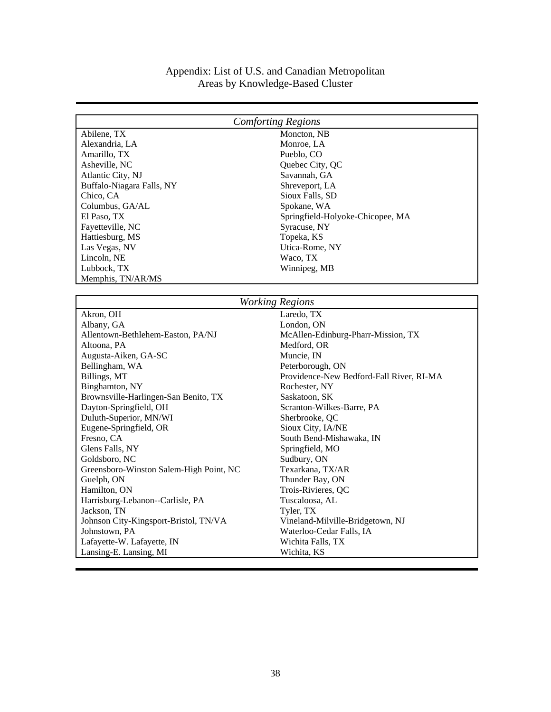# Appendix: List of U.S. and Canadian Metropolitan Areas by Knowledge-Based Cluster

| <b>Comforting Regions</b>               |                                          |  |
|-----------------------------------------|------------------------------------------|--|
| Abilene, TX                             | Moncton, NB                              |  |
| Alexandria, LA                          | Monroe, LA                               |  |
| Amarillo, TX                            | Pueblo, CO                               |  |
| Asheville, NC                           | Quebec City, QC                          |  |
| Atlantic City, NJ                       | Savannah, GA                             |  |
| Buffalo-Niagara Falls, NY               | Shreveport, LA                           |  |
| Chico, CA                               | Sioux Falls, SD                          |  |
| Columbus, GA/AL                         | Spokane, WA                              |  |
| El Paso, TX                             | Springfield-Holyoke-Chicopee, MA         |  |
| Fayetteville, NC                        | Syracuse, NY                             |  |
| Hattiesburg, MS                         | Topeka, KS                               |  |
| Las Vegas, NV                           | Utica-Rome, NY                           |  |
| Lincoln, NE                             | Waco, TX                                 |  |
| Lubbock, TX                             | Winnipeg, MB                             |  |
| Memphis, TN/AR/MS                       |                                          |  |
|                                         |                                          |  |
|                                         | <b>Working Regions</b>                   |  |
| Akron, OH                               | Laredo, TX                               |  |
| Albany, GA                              | London, ON                               |  |
| Allentown-Bethlehem-Easton, PA/NJ       | McAllen-Edinburg-Pharr-Mission, TX       |  |
| Altoona, PA                             | Medford, OR                              |  |
| Augusta-Aiken, GA-SC                    | Muncie, IN                               |  |
| Bellingham, WA                          | Peterborough, ON                         |  |
| Billings, MT                            | Providence-New Bedford-Fall River, RI-MA |  |
| Binghamton, NY                          | Rochester, NY                            |  |
| Brownsville-Harlingen-San Benito, TX    | Saskatoon, SK                            |  |
| Dayton-Springfield, OH                  | Scranton-Wilkes-Barre, PA                |  |
| Duluth-Superior, MN/WI                  | Sherbrooke, QC                           |  |
| Eugene-Springfield, OR                  | Sioux City, IA/NE                        |  |
| Fresno, CA                              | South Bend-Mishawaka, IN                 |  |
| Glens Falls, NY                         | Springfield, MO                          |  |
| Goldsboro, NC                           | Sudbury, ON                              |  |
| Greensboro-Winston Salem-High Point, NC | Texarkana, TX/AR                         |  |
| Guelph, ON                              | Thunder Bay, ON                          |  |
| Hamilton, ON                            | Trois-Rivieres, QC                       |  |
| Harrisburg-Lebanon--Carlisle, PA        | Tuscaloosa, AL                           |  |
| Jackson, TN                             | Tyler, TX                                |  |
| Johnson City-Kingsport-Bristol, TN/VA   | Vineland-Milville-Bridgetown, NJ         |  |
| Johnstown, PA                           | Waterloo-Cedar Falls, IA                 |  |
| Lafayette-W. Lafayette, IN              | Wichita Falls, TX                        |  |
| Lansing-E. Lansing, MI                  | Wichita, KS                              |  |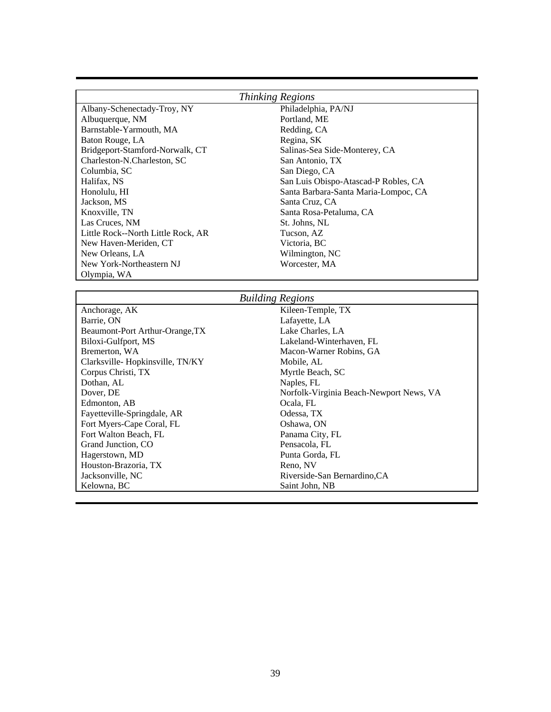| Thinking Regions                   |                                      |  |
|------------------------------------|--------------------------------------|--|
| Albany-Schenectady-Troy, NY        | Philadelphia, PA/NJ                  |  |
| Albuquerque, NM                    | Portland, ME                         |  |
| Barnstable-Yarmouth, MA            | Redding, CA                          |  |
| Baton Rouge, LA                    | Regina, SK                           |  |
| Bridgeport-Stamford-Norwalk, CT    | Salinas-Sea Side-Monterey, CA        |  |
| Charleston-N.Charleston, SC        | San Antonio, TX                      |  |
| Columbia, SC                       | San Diego, CA                        |  |
| Halifax, NS                        | San Luis Obispo-Atascad-P Robles, CA |  |
| Honolulu, HI                       | Santa Barbara-Santa Maria-Lompoc, CA |  |
| Jackson, MS                        | Santa Cruz, CA                       |  |
| Knoxville, TN                      | Santa Rosa-Petaluma, CA              |  |
| Las Cruces, NM                     | St. Johns, NL                        |  |
| Little Rock--North Little Rock, AR | Tucson, AZ                           |  |
| New Haven-Meriden, CT              | Victoria, BC                         |  |
| New Orleans, LA                    | Wilmington, NC                       |  |
| New York-Northeastern NJ           | Worcester, MA                        |  |
| Olympia, WA                        |                                      |  |
|                                    |                                      |  |

| <b>Building Regions</b>         |                                         |  |
|---------------------------------|-----------------------------------------|--|
| Anchorage, AK                   | Kileen-Temple, TX                       |  |
| Barrie, ON                      | Lafayette, LA                           |  |
| Beaumont-Port Arthur-Orange, TX | Lake Charles, LA                        |  |
| Biloxi-Gulfport, MS             | Lakeland-Winterhaven, FL                |  |
| Bremerton, WA                   | Macon-Warner Robins, GA                 |  |
| Clarksville-Hopkinsville, TN/KY | Mobile, AL                              |  |
| Corpus Christi, TX              | Myrtle Beach, SC                        |  |
| Dothan, AL                      | Naples, FL                              |  |
| Dover, DE                       | Norfolk-Virginia Beach-Newport News, VA |  |
| Edmonton, AB                    | Ocala, FL                               |  |
| Fayetteville-Springdale, AR     | Odessa, TX                              |  |
| Fort Myers-Cape Coral, FL       | Oshawa, ON                              |  |
| Fort Walton Beach, FL           | Panama City, FL                         |  |
| Grand Junction, CO              | Pensacola, FL                           |  |
| Hagerstown, MD                  | Punta Gorda, FL                         |  |
| Houston-Brazoria, TX            | Reno, NV                                |  |
| Jacksonville, NC                | Riverside-San Bernardino, CA            |  |
| Kelowna, BC                     | Saint John, NB                          |  |
|                                 |                                         |  |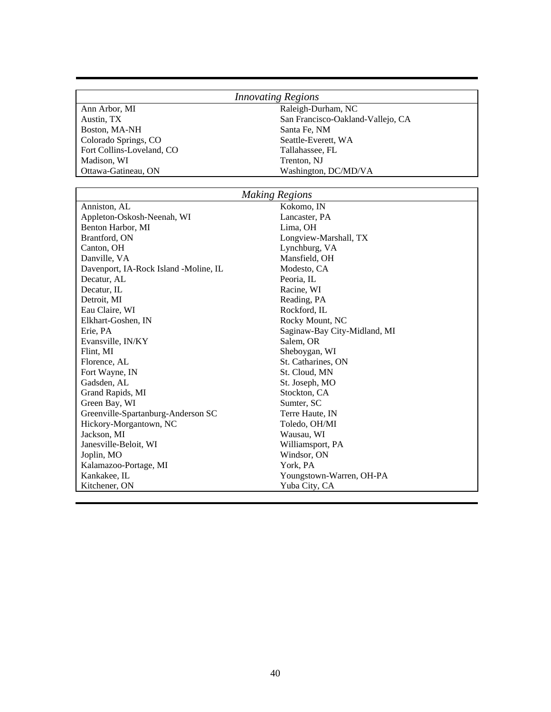|                           | <i><u><b>INNOVAILLER</b></u></i> |  |
|---------------------------|----------------------------------|--|
| Ann Arbor, MI             | Raleigh-Durham, NC               |  |
| Austin, TX                | San Francisco-Oaklan             |  |
| Boston, MA-NH             | Santa Fe, NM                     |  |
| Colorado Springs, CO      | Seattle-Everett, WA              |  |
| Fort Collins-Loveland, CO | Tallahassee, FL                  |  |
| Madison, WI               | Trenton, NJ                      |  |
| Ottawa-Gatineau, ON       | Washington, DC/MD/               |  |

# *Innovating Regions*

Austin, TX San Francisco-Oakland-Vallejo, CA Santa Fe, NM Seattle-Everett, WA Fort Collins-Loveland, Collins-Loveland, Collins-Loveland, Collins-Loveland, Collins-Loveland, Collins-Loveland, Collins-Trenton, NJ Washington, DC/MD/VA

| <b>Making Regions</b>                 |                              |  |
|---------------------------------------|------------------------------|--|
| Anniston, AL                          | Kokomo, IN                   |  |
| Appleton-Oskosh-Neenah, WI            | Lancaster, PA                |  |
| Benton Harbor, MI                     | Lima, OH                     |  |
| Brantford, ON                         | Longview-Marshall, TX        |  |
| Canton, OH                            | Lynchburg, VA                |  |
| Danville, VA                          | Mansfield, OH                |  |
| Davenport, IA-Rock Island -Moline, IL | Modesto, CA                  |  |
| Decatur, AL                           | Peoria, IL                   |  |
| Decatur, IL                           | Racine, WI                   |  |
| Detroit, MI                           | Reading, PA                  |  |
| Eau Claire, WI                        | Rockford, IL                 |  |
| Elkhart-Goshen, IN                    | Rocky Mount, NC              |  |
| Erie, PA                              | Saginaw-Bay City-Midland, MI |  |
| Evansville, IN/KY                     | Salem, OR                    |  |
| Flint, MI                             | Sheboygan, WI                |  |
| Florence, AL                          | St. Catharines, ON           |  |
| Fort Wayne, IN                        | St. Cloud, MN                |  |
| Gadsden, AL                           | St. Joseph, MO               |  |
| Grand Rapids, MI                      | Stockton, CA                 |  |
| Green Bay, WI                         | Sumter, SC                   |  |
| Greenville-Spartanburg-Anderson SC    | Terre Haute, IN              |  |
| Hickory-Morgantown, NC                | Toledo, OH/MI                |  |
| Jackson, MI                           | Wausau, WI                   |  |
| Janesville-Beloit, WI                 | Williamsport, PA             |  |
| Joplin, MO                            | Windsor, ON                  |  |
| Kalamazoo-Portage, MI                 | York, PA                     |  |
| Kankakee, IL                          | Youngstown-Warren, OH-PA     |  |
| Kitchener, ON                         | Yuba City, CA                |  |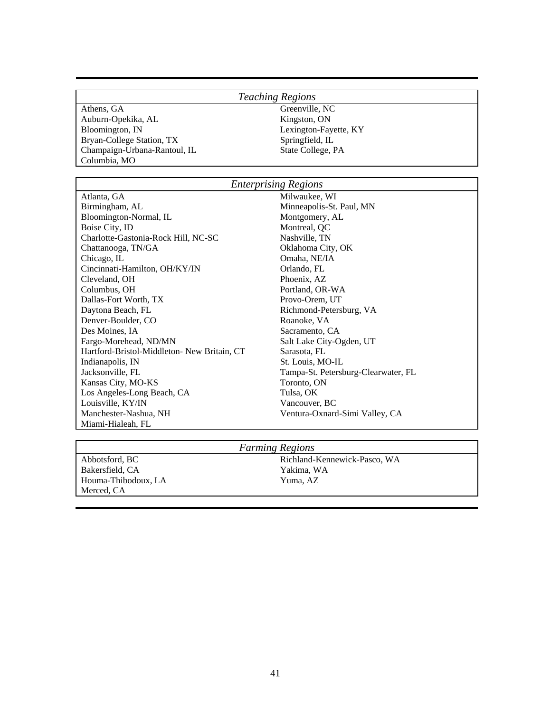## *Teaching Regions*

Athens, GA Greenville, NC Auburn-Opekika, AL Kingston, ON Bloomington, IN Lexington-Fayette, KY Bryan-College Station, TX Springfield, IL Champaign-Urbana-Rantoul, IL State College, PA Columbia, MO

## *Enterprising Regions*

Atlanta, GA Milwaukee, WI Birmingham, AL Minneapolis-St. Paul, MN Bloomington-Normal, IL Montgomery, AL Boise City, ID Montreal, QC Charlotte-Gastonia-Rock Hill, NC-SC Nashville, TN Chattanooga, TN/GA Oklahoma City, OK Chicago, IL Chicago, IL Chicago, IL Chicago, IL Chicago, IL Chicago, IL Chicago, IL Chicago, IL Chicago, IL Chicago, IL Chicago, IL Chicago, IL Chicago, IL Chicago, IL Chicago, IL Chicago, IL Chicago, IL Chicago, IL Chicag Cincinnati-Hamilton, OH/KY/IN Orlando, FL Cleveland, OH Phoenix, AZ Columbus, OH Portland, OR-WA Dallas-Fort Worth, TX Provo-Orem, UT Daytona Beach, FL Richmond-Petersburg, VA Denver-Boulder, CO Roanoke, VA Des Moines, IA Sacramento, CA Fargo-Morehead, ND/MN Salt Lake City-Ogden, UT Hartford-Bristol-Middleton- New Britain, CT Sarasota, FL Indianapolis, IN<br>
Indianapolis, IN St. Louis, MO-IL<br>
Indianapolis, IN St. Louis, MO-IL<br>
Indianapolis, IN St. Louis, MO-IL Kansas City, MO-KS Toronto, ON Los Angeles-Long Beach, CA Tulsa, OK Louisville, KY/IN Vancouver, BC Manchester-Nashua, NH Ventura-Oxnard-Simi Valley, CA Miami-Hialeah, FL

Tampa-St. Petersburg-Clearwater, FL

## *Farming Regions*

Bakersfield, CA Yakima, WA Houma-Thibodoux, LA Yuma, AZ Merced, CA

Abbotsford, BC Richland-Kennewick-Pasco, WA